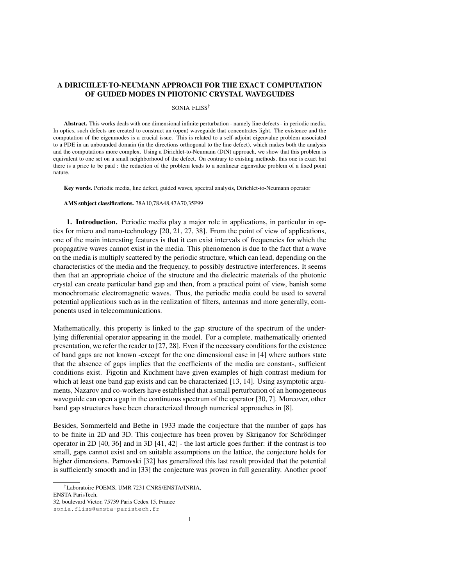# A DIRICHLET-TO-NEUMANN APPROACH FOR THE EXACT COMPUTATION OF GUIDED MODES IN PHOTONIC CRYSTAL WAVEGUIDES

#### SONIA FLISS†

Abstract. This works deals with one dimensional infinite perturbation - namely line defects - in periodic media. In optics, such defects are created to construct an (open) waveguide that concentrates light. The existence and the computation of the eigenmodes is a crucial issue. This is related to a self-adjoint eigenvalue problem associated to a PDE in an unbounded domain (in the directions orthogonal to the line defect), which makes both the analysis and the computations more complex. Using a Dirichlet-to-Neumann (DtN) approach, we show that this problem is equivalent to one set on a small neighborhood of the defect. On contrary to existing methods, this one is exact but there is a price to be paid : the reduction of the problem leads to a nonlinear eigenvalue problem of a fixed point nature.

Key words. Periodic media, line defect, guided waves, spectral analysis, Dirichlet-to-Neumann operator

#### AMS subject classifications. 78A10,78A48,47A70,35P99

1. Introduction. Periodic media play a major role in applications, in particular in optics for micro and nano-technology [20, 21, 27, 38]. From the point of view of applications, one of the main interesting features is that it can exist intervals of frequencies for which the propagative waves cannot exist in the media. This phenomenon is due to the fact that a wave on the media is multiply scattered by the periodic structure, which can lead, depending on the characteristics of the media and the frequency, to possibly destructive interferences. It seems then that an appropriate choice of the structure and the dielectric materials of the photonic crystal can create particular band gap and then, from a practical point of view, banish some monochromatic electromagnetic waves. Thus, the periodic media could be used to several potential applications such as in the realization of filters, antennas and more generally, components used in telecommunications.

Mathematically, this property is linked to the gap structure of the spectrum of the underlying differential operator appearing in the model. For a complete, mathematically oriented presentation, we refer the reader to [27, 28]. Even if the necessary conditions for the existence of band gaps are not known -except for the one dimensional case in [4] where authors state that the absence of gaps implies that the coefficients of the media are constant-, sufficient conditions exist. Figotin and Kuchment have given examples of high contrast medium for which at least one band gap exists and can be characterized [13, 14]. Using asymptotic arguments, Nazarov and co-workers have established that a small perturbation of an homogeneous waveguide can open a gap in the continuous spectrum of the operator [30, 7]. Moreover, other band gap structures have been characterized through numerical approaches in [8].

Besides, Sommerfeld and Bethe in 1933 made the conjecture that the number of gaps has to be finite in 2D and 3D. This conjecture has been proven by Skriganov for Schrödinger operator in 2D [40, 36] and in 3D [41, 42] - the last article goes further: if the contrast is too small, gaps cannot exist and on suitable assumptions on the lattice, the conjecture holds for higher dimensions. Parnovski [32] has generalized this last result provided that the potential is sufficiently smooth and in [33] the conjecture was proven in full generality. Another proof

<sup>†</sup>Laboratoire POEMS, UMR 7231 CNRS/ENSTA/INRIA,

ENSTA ParisTech,

<sup>32,</sup> boulevard Victor, 75739 Paris Cedex 15, France

sonia.fliss@ensta-paristech.fr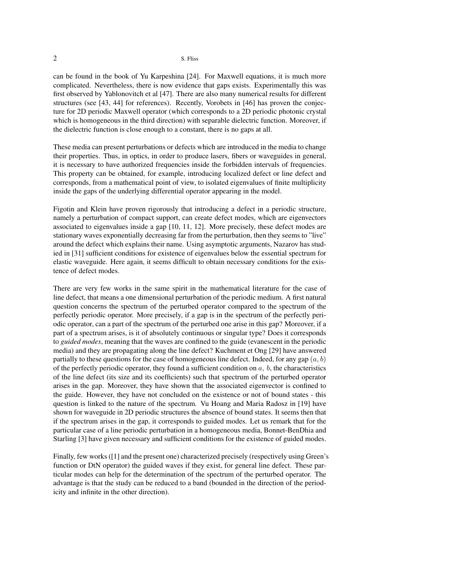can be found in the book of Yu Karpeshina [24]. For Maxwell equations, it is much more complicated. Nevertheless, there is now evidence that gaps exists. Experimentally this was first observed by Yablonovitch et al [47]. There are also many numerical results for different structures (see [43, 44] for references). Recently, Vorobets in [46] has proven the conjecture for 2D periodic Maxwell operator (which corresponds to a 2D periodic photonic crystal which is homogeneous in the third direction) with separable dielectric function. Moreover, if the dielectric function is close enough to a constant, there is no gaps at all.

These media can present perturbations or defects which are introduced in the media to change their properties. Thus, in optics, in order to produce lasers, fibers or waveguides in general, it is necessary to have authorized frequencies inside the forbidden intervals of frequencies. This property can be obtained, for example, introducing localized defect or line defect and corresponds, from a mathematical point of view, to isolated eigenvalues of finite multiplicity inside the gaps of the underlying differential operator appearing in the model.

Figotin and Klein have proven rigorously that introducing a defect in a periodic structure, namely a perturbation of compact support, can create defect modes, which are eigenvectors associated to eigenvalues inside a gap [10, 11, 12]. More precisely, these defect modes are stationary waves exponentially decreasing far from the perturbation, then they seems to "live" around the defect which explains their name. Using asymptotic arguments, Nazarov has studied in [31] sufficient conditions for existence of eigenvalues below the essential spectrum for elastic waveguide. Here again, it seems difficult to obtain necessary conditions for the existence of defect modes.

There are very few works in the same spirit in the mathematical literature for the case of line defect, that means a one dimensional perturbation of the periodic medium. A first natural question concerns the spectrum of the perturbed operator compared to the spectrum of the perfectly periodic operator. More precisely, if a gap is in the spectrum of the perfectly periodic operator, can a part of the spectrum of the perturbed one arise in this gap? Moreover, if a part of a spectrum arises, is it of absolutely continuous or singular type? Does it corresponds to *guided modes*, meaning that the waves are confined to the guide (evanescent in the periodic media) and they are propagating along the line defect? Kuchment et Ong [29] have answered partially to these questions for the case of homogeneous line defect. Indeed, for any gap  $(a, b)$ of the perfectly periodic operator, they found a sufficient condition on  $a, b$ , the characteristics of the line defect (its size and its coefficients) such that spectrum of the perturbed operator arises in the gap. Moreover, they have shown that the associated eigenvector is confined to the guide. However, they have not concluded on the existence or not of bound states - this question is linked to the nature of the spectrum. Vu Hoang and Maria Radosz in [19] have shown for waveguide in 2D periodic structures the absence of bound states. It seems then that if the spectrum arises in the gap, it corresponds to guided modes. Let us remark that for the particular case of a line periodic perturbation in a homogeneous media, Bonnet-BenDhia and Starling [3] have given necessary and sufficient conditions for the existence of guided modes.

Finally, few works ([1] and the present one) characterized precisely (respectively using Green's function or DtN operator) the guided waves if they exist, for general line defect. These particular modes can help for the determination of the spectrum of the perturbed operator. The advantage is that the study can be reduced to a band (bounded in the direction of the periodicity and infinite in the other direction).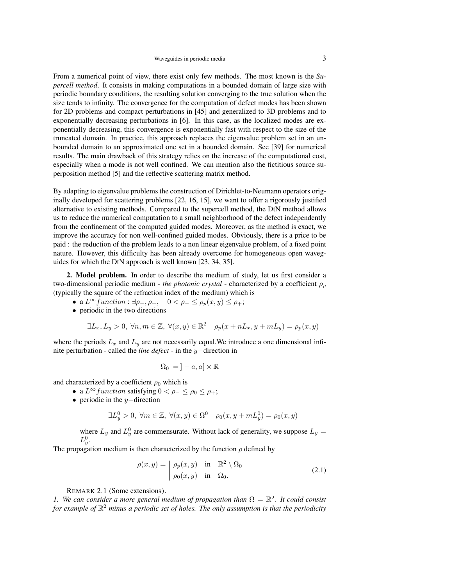From a numerical point of view, there exist only few methods. The most known is the *Supercell method*. It consists in making computations in a bounded domain of large size with periodic boundary conditions, the resulting solution converging to the true solution when the size tends to infinity. The convergence for the computation of defect modes has been shown for 2D problems and compact perturbations in [45] and generalized to 3D problems and to exponentially decreasing perturbations in [6]. In this case, as the localized modes are exponentially decreasing, this convergence is exponentially fast with respect to the size of the truncated domain. In practice, this approach replaces the eigenvalue problem set in an unbounded domain to an approximated one set in a bounded domain. See [39] for numerical results. The main drawback of this strategy relies on the increase of the computational cost, especially when a mode is not well confined. We can mention also the fictitious source superposition method [5] and the reflective scattering matrix method.

By adapting to eigenvalue problems the construction of Dirichlet-to-Neumann operators originally developed for scattering problems [22, 16, 15], we want to offer a rigorously justified alternative to existing methods. Compared to the supercell method, the DtN method allows us to reduce the numerical computation to a small neighborhood of the defect independently from the confinement of the computed guided modes. Moreover, as the method is exact, we improve the accuracy for non well-confined guided modes. Obviously, there is a price to be paid : the reduction of the problem leads to a non linear eigenvalue problem, of a fixed point nature. However, this difficulty has been already overcome for homogeneous open waveguides for which the DtN approach is well known [23, 34, 35].

2. Model problem. In order to describe the medium of study, let us first consider a two-dimensional periodic medium - *the photonic crystal* - characterized by a coefficient  $\rho_p$ (typically the square of the refraction index of the medium) which is

- a  $L^{\infty}$  function :  $\exists \rho_-, \rho_+, 0 < \rho_- \leq \rho_p(x, y) \leq \rho_+;$
- periodic in the two directions

$$
\exists L_x, L_y > 0, \ \forall n, m \in \mathbb{Z}, \ \forall (x, y) \in \mathbb{R}^2 \quad \rho_p(x + nL_x, y + mL_y) = \rho_p(x, y)
$$

where the periods  $L_x$  and  $L_y$  are not necessarily equal. We introduce a one dimensional infinite perturbation - called the *line defect* - in the y−direction in

$$
\Omega_0 = \, ]-a,a[ \times \mathbb{R}
$$

and characterized by a coefficient  $\rho_0$  which is

- a  $L^{\infty}$  function satisfying  $0 < \rho_- \leq \rho_0 \leq \rho_+$ ;
- periodic in the  $y$ −direction

$$
\exists L_y^0 > 0, \ \forall m \in \mathbb{Z}, \ \forall (x, y) \in \Omega^0 \quad \rho_0(x, y + mL_y^0) = \rho_0(x, y)
$$

where  $L_y$  and  $L_y^0$  are commensurate. Without lack of generality, we suppose  $L_y = L_y^0$ L .

The propagation medium is then characterized by the function  $\rho$  defined by

$$
\rho(x,y) = \begin{vmatrix} \rho_p(x,y) & \text{in } \mathbb{R}^2 \setminus \Omega_0 \\ \rho_0(x,y) & \text{in } \Omega_0. \end{vmatrix}
$$
 (2.1)

REMARK 2.1 (Some extensions).

*1.* We can consider a more general medium of propagation than  $\Omega = \mathbb{R}^2$ . It could consist *for example of* R <sup>2</sup> *minus a periodic set of holes. The only assumption is that the periodicity*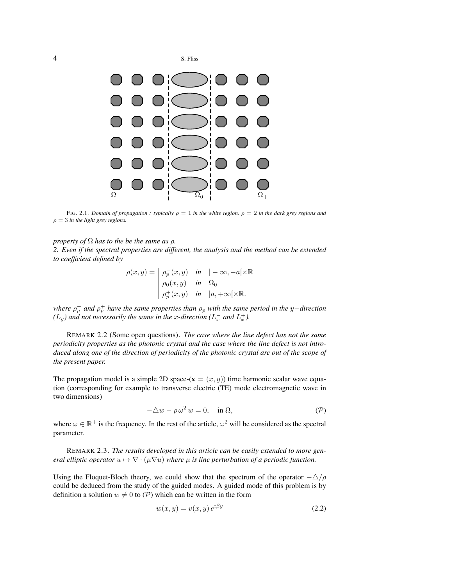



FIG. 2.1. *Domain of propagation : typically*  $\rho = 1$  *in the white region,*  $\rho = 2$  *in the dark grey regions and*  $\rho = 3$  *in the light grey regions.* 

### *property of*  $\Omega$  *has to the be the same as*  $\rho$ *.*

*2. Even if the spectral properties are different, the analysis and the method can be extended to coefficient defined by*

$$
\rho(x,y) = \begin{vmatrix} \rho_p^-(x,y) & \text{in} & ]-\infty, -a[\times \mathbb{R} \\ \rho_0(x,y) & \text{in} & \Omega_0 \\ \rho_p^+(x,y) & \text{in} & ]a, +\infty[\times \mathbb{R}. \end{vmatrix}
$$

*where*  $ρ<sub>p</sub><sup>−</sup>$  *and*  $ρ<sub>p</sub><sup>+</sup>$  *have the same properties than*  $ρ<sub>p</sub>$  *with the same period in the y*−*direction*  $(L_y)$  and not necessarily the same in the x-direction ( $L_x^-$  and  $L_x^+$ ).

REMARK 2.2 (Some open questions). *The case where the line defect has not the same periodicity properties as the photonic crystal and the case where the line defect is not introduced along one of the direction of periodicity of the photonic crystal are out of the scope of the present paper.*

The propagation model is a simple 2D space-( $\mathbf{x} = (x, y)$ ) time harmonic scalar wave equation (corresponding for example to transverse electric (TE) mode electromagnetic wave in two dimensions)

$$
-\Delta w - \rho \,\omega^2 \, w = 0, \quad \text{in } \Omega,\tag{P}
$$

where  $\omega \in \mathbb{R}^+$  is the frequency. In the rest of the article,  $\omega^2$  will be considered as the spectral parameter.

REMARK 2.3. *The results developed in this article can be easily extended to more general elliptic operator*  $u \mapsto \nabla \cdot (\mu \nabla u)$  *where*  $\mu$  *is line perturbation of a periodic function.* 

Using the Floquet-Bloch theory, we could show that the spectrum of the operator  $-\Delta/\rho$ could be deduced from the study of the guided modes. A guided mode of this problem is by definition a solution  $w \neq 0$  to  $(\mathcal{P})$  which can be written in the form

$$
w(x, y) = v(x, y) e^{i\beta y}
$$
\n
$$
(2.2)
$$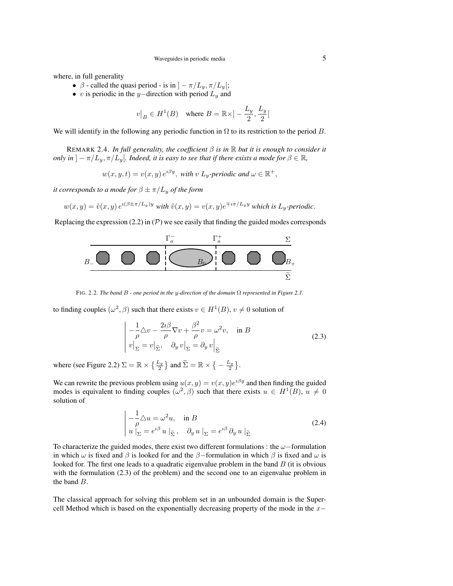where, in full generality

- $\beta$  called the quasi period is in  $]-\pi/L_y, \pi/L_y[$ ;
- v is periodic in the y–direction with period  $L_y$  and

$$
v\big|_B \in H^1(B) \quad \text{where } B = \mathbb{R} \times ]-\frac{L_y}{2}, \frac{L_y}{2}[
$$

We will identify in the following any periodic function in  $\Omega$  to its restriction to the period B.

REMARK 2.4. *In full generality, the coefficient* β *is in* R *but it is enough to consider it only in*  $]-\pi/L_y, \pi/L_y[$ *. Indeed, it is easy to see that if there exists a mode for*  $\beta \in \mathbb{R}$ *,* 

$$
w(x, y, t) = v(x, y) e^{i\beta y}
$$
, with v  $L_y$ -periodic and  $\omega \in \mathbb{R}^+$ ,

*it corresponds to a mode for*  $\beta \pm \pi/L_y$  *of the form* 

$$
w(x,y) = \tilde{v}(x,y) e^{i(\beta \pm \pi/L_y)y} \text{ with } \tilde{v}(x,y) = v(x,y) e^{\mp i\pi/L_y y} \text{ which is } L_y\text{-periodic.}
$$

Replacing the expression (2.2) in  $(\mathcal{P})$  we see easily that finding the guided modes corresponds



FIG. 2.2. *The band* B *- one period in the* y*-direction of the domain* Ω *represented in Figure 2.1.*

to finding couples  $(\omega^2, \beta)$  such that there exists  $v \in H^1(B)$ ,  $v \neq 0$  solution of

$$
-\frac{1}{\rho}\triangle v - \frac{2i\beta}{\rho}\nabla v + \frac{\beta^2}{\rho}v = \omega^2 v, \text{ in } B
$$
  
\n
$$
v\big|_{\Sigma} = v\big|_{\widetilde{\Sigma}}, \quad \partial_y v\big|_{\Sigma} = \partial_y v\big|_{\widetilde{\Sigma}}
$$
\n(2.3)

where (see Figure 2.2)  $\Sigma = \mathbb{R} \times {\frac{L_y}{2}}$  and  $\widetilde{\Sigma} = \mathbb{R} \times {\frac{L_y}{2}}$ .

We can rewrite the previous problem using  $u(x, y) = v(x, y)e^{i\beta y}$  and then finding the guided modes is equivalent to finding couples  $(\omega^2, \beta)$  such that there exists  $u \in H^1(B)$ ,  $u \neq 0$ solution of

$$
-\frac{1}{\rho}\triangle u = \omega^2 u, \quad \text{in } B
$$
  
 
$$
u\big|_{\Sigma} = e^{i\beta} u\big|_{\widetilde{\Sigma}}, \quad \partial_y u\big|_{\Sigma} = e^{i\beta} \partial_y u\big|_{\widetilde{\Sigma}}
$$
 (2.4)

To characterize the guided modes, there exist two different formulations : the  $\omega$ −formulation in which  $\omega$  is fixed and  $\beta$  is looked for and the  $\beta$ -formulation in which  $\beta$  is fixed and  $\omega$  is looked for. The first one leads to a quadratic eigenvalue problem in the band  $B$  (it is obvious with the formulation (2.3) of the problem) and the second one to an eigenvalue problem in the band B.

The classical approach for solving this problem set in an unbounded domain is the Supercell Method which is based on the exponentially decreasing property of the mode in the  $x-$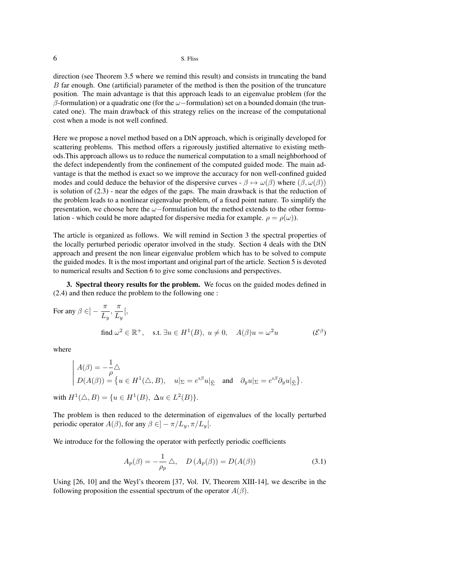direction (see Theorem 3.5 where we remind this result) and consists in truncating the band B far enough. One (artificial) parameter of the method is then the position of the truncature position. The main advantage is that this approach leads to an eigenvalue problem (for the β-formulation) or a quadratic one (for the  $ω$  -formulation) set on a bounded domain (the truncated one). The main drawback of this strategy relies on the increase of the computational cost when a mode is not well confined.

Here we propose a novel method based on a DtN approach, which is originally developed for scattering problems. This method offers a rigorously justified alternative to existing methods.This approach allows us to reduce the numerical computation to a small neighborhood of the defect independently from the confinement of the computed guided mode. The main advantage is that the method is exact so we improve the accuracy for non well-confined guided modes and could deduce the behavior of the dispersive curves -  $\beta \mapsto \omega(\beta)$  where  $(\beta, \omega(\beta))$ is solution of  $(2.3)$  - near the edges of the gaps. The main drawback is that the reduction of the problem leads to a nonlinear eigenvalue problem, of a fixed point nature. To simplify the presentation, we choose here the  $\omega$ −formulation but the method extends to the other formulation - which could be more adapted for dispersive media for example.  $\rho = \rho(\omega)$ ).

The article is organized as follows. We will remind in Section 3 the spectral properties of the locally perturbed periodic operator involved in the study. Section 4 deals with the DtN approach and present the non linear eigenvalue problem which has to be solved to compute the guided modes. It is the most important and original part of the article. Section 5 is devoted to numerical results and Section 6 to give some conclusions and perspectives.

3. Spectral theory results for the problem. We focus on the guided modes defined in (2.4) and then reduce the problem to the following one :

For any 
$$
\beta \in ]-\frac{\pi}{L_y}, \frac{\pi}{L_y}[
$$
,  
find  $\omega^2 \in \mathbb{R}^+$ , s.t.  $\exists u \in H^1(B), u \neq 0$ ,  $A(\beta)u = \omega^2 u$   $(\mathcal{E}^{\beta})$ 

where

$$
\begin{aligned}\nA(\beta) &= -\frac{1}{\rho} \triangle \\
D(A(\beta)) &= \{ u \in H^1(\triangle, B), \quad u|_{\Sigma} = e^{i\beta} u|_{\widetilde{\Sigma}} \quad \text{and} \quad \partial_y u|_{\Sigma} = e^{i\beta} \partial_y u|_{\widetilde{\Sigma}} \}. \\
\end{aligned}
$$

with  $H^1(\triangle, B) = \{u \in H^1(B), \ \Delta u \in L^2(B)\}.$ 

The problem is then reduced to the determination of eigenvalues of the locally perturbed periodic operator  $A(\beta)$ , for any  $\beta \in ]-\pi/L_u, \pi/L_u[$ .

We introduce for the following the operator with perfectly periodic coefficients

$$
A_p(\beta) = -\frac{1}{\rho_p} \triangle, \quad D(A_p(\beta)) = D(A(\beta)) \tag{3.1}
$$

Using [26, 10] and the Weyl's theorem [37, Vol. IV, Theorem XIII-14], we describe in the following proposition the essential spectrum of the operator  $A(\beta)$ .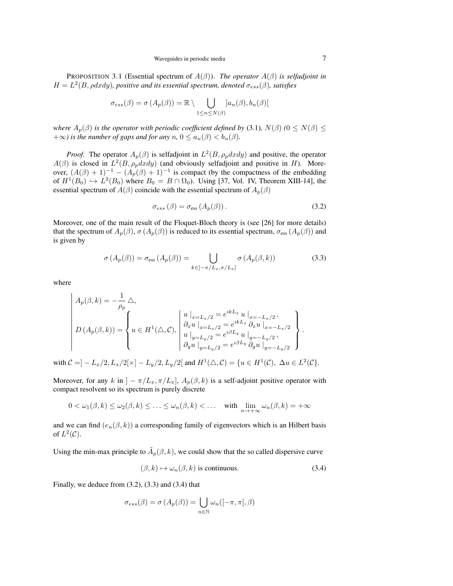PROPOSITION 3.1 (Essential spectrum of A(β)). *The operator* A(β) *is selfadjoint in*  $H = L<sup>2</sup>(B, \rho dx dy)$ , positive and its essential spectrum, denoted  $\sigma_{ess}(\beta)$ , satisfies

$$
\sigma_{ess}(\beta) = \sigma(A_p(\beta)) = \mathbb{R} \setminus \bigcup_{1 \leq n \leq N(\beta)} [a_n(\beta), b_n(\beta)]
$$

*where*  $A_p(\beta)$  *is the operator with periodic coefficient defined by* (3.1)*,*  $N(\beta)$  ( $0 \le N(\beta) \le$  $+\infty$ *) is the number of gaps and for any*  $n, 0 \le a_n(\beta) < b_n(\beta)$ .

*Proof.* The operator  $A_p(\beta)$  is selfadjoint in  $L^2(B, \rho_p dxdy)$  and positive, the operator  $A(\beta)$  is closed in  $L^2(B, \rho_p dxdy)$  (and obviously selfadjoint and positive in H). Moreover,  $(A(\beta) + 1)^{-1} - (A_p(\beta) + 1)^{-1}$  is compact (by the compactness of the embedding of  $H^1(B_0) \hookrightarrow L^2(B_0)$  where  $B_0 = B \cap \Omega_0$ ). Using [37, Vol. IV, Theorem XIII-14], the essential spectrum of  $A(\beta)$  coincide with the essential spectrum of  $A_p(\beta)$ 

$$
\sigma_{ess}(\beta) = \sigma_{ess}(A_p(\beta)).\tag{3.2}
$$

Moreover, one of the main result of the Floquet-Bloch theory is (see [26] for more details) that the spectrum of  $A_p(\beta)$ ,  $\sigma(A_p(\beta))$  is reduced to its essential spectrum,  $\sigma_{\rm ess}(A_p(\beta))$  and is given by

$$
\sigma(A_p(\beta)) = \sigma_{\text{ess}}(A_p(\beta)) = \bigcup_{k \in ]-\pi/L_x, \pi/L_x]} \sigma(A_p(\beta, k))
$$
\n(3.3)

where

$$
A_p(\beta, k) = -\frac{1}{\rho_p} \triangle,
$$
  
\n
$$
D(A_p(\beta, k)) = \begin{cases} u \mid_{x=L_x/2} = e^{ikL_x} u \mid_{x=-L_x/2}, \\ u \in H^1(\triangle, C), \quad \begin{cases} u \mid_{x=L_x/2} = e^{ikL_x} u \mid_{x=-L_x/2}, \\ \frac{\partial_x u}{\partial_x u} \mid_{x=L_y/2} = e^{i\beta L_y} u \mid_{y=-L_y/2}, \\ \frac{\partial_y u}{\partial_y u} \mid_{y=L_y/2} = e^{i\beta L_y} \frac{\partial_y u}{\partial_y u} \mid_{y=-L_y/2} \end{cases}.
$$

with  $C = ] - L_x/2, L_x/2[ \times ] - L_y/2, L_y/2[$  and  $H^1(\triangle, C) = \{ u \in H^1(C), \ \Delta u \in L^2(C) \}.$ 

Moreover, for any k in  $]-\pi/L_x, \pi/L_x]$ ,  $A_p(\beta, k)$  is a self-adjoint positive operator with compact resolvent so its spectrum is purely discrete

$$
0 < \omega_1(\beta, k) \le \omega_2(\beta, k) \le \ldots \le \omega_n(\beta, k) < \ldots \quad \text{with } \lim_{n \to +\infty} \omega_n(\beta, k) = +\infty
$$

and we can find  $(e_n(\beta, k))$  a corresponding family of eigenvectors which is an Hilbert basis of  $L^2(\mathcal{C})$ .

Using the min-max principle to  $\tilde{A}_p(\beta, k)$ , we could show that the so called dispersive curve

$$
(\beta, k) \mapsto \omega_n(\beta, k) \text{ is continuous.}
$$
\n(3.4)

Finally, we deduce from  $(3.2)$ ,  $(3.3)$  and  $(3.4)$  that

$$
\sigma_{ess}(\beta) = \sigma(A_p(\beta)) = \bigcup_{n \in \mathbb{N}} \omega_n([-\pi, \pi[, \beta])
$$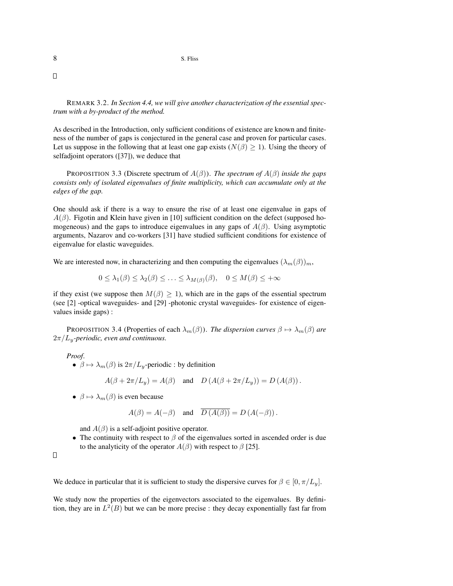$\Box$ 

REMARK 3.2. *In Section 4.4, we will give another characterization of the essential spectrum with a by-product of the method.*

As described in the Introduction, only sufficient conditions of existence are known and finiteness of the number of gaps is conjectured in the general case and proven for particular cases. Let us suppose in the following that at least one gap exists ( $N(\beta) \geq 1$ ). Using the theory of selfadjoint operators ([37]), we deduce that

PROPOSITION 3.3 (Discrete spectrum of A(β)). *The spectrum of* A(β) *inside the gaps consists only of isolated eigenvalues of finite multiplicity, which can accumulate only at the edges of the gap.*

One should ask if there is a way to ensure the rise of at least one eigenvalue in gaps of  $A(\beta)$ . Figotin and Klein have given in [10] sufficient condition on the defect (supposed homogeneous) and the gaps to introduce eigenvalues in any gaps of  $A(\beta)$ . Using asymptotic arguments, Nazarov and co-workers [31] have studied sufficient conditions for existence of eigenvalue for elastic waveguides.

We are interested now, in characterizing and then computing the eigenvalues  $(\lambda_m(\beta))_m$ ,

 $0 \leq \lambda_1(\beta) \leq \lambda_2(\beta) \leq \ldots \leq \lambda_{M(\beta)}(\beta), \quad 0 \leq M(\beta) \leq +\infty$ 

if they exist (we suppose then  $M(\beta) \geq 1$ ), which are in the gaps of the essential spectrum (see [2] -optical waveguides- and [29] -photonic crystal waveguides- for existence of eigenvalues inside gaps) :

PROPOSITION 3.4 (Properties of each  $\lambda_m(\beta)$ ). *The dispersion curves*  $\beta \mapsto \lambda_m(\beta)$  *are*  $2\pi/L_v$ -periodic, even and continuous.

*Proof*.

•  $\beta \mapsto \lambda_m(\beta)$  is  $2\pi/L_y$ -periodic : by definition

 $A(\beta + 2\pi/L_y) = A(\beta)$  and  $D(A(\beta + 2\pi/L_y)) = D(A(\beta)).$ 

•  $\beta \mapsto \lambda_m(\beta)$  is even because

$$
A(\beta) = A(-\beta)
$$
 and  $\overline{D(A(\beta))} = D(A(-\beta))$ .

and  $A(\beta)$  is a self-adjoint positive operator.

• The continuity with respect to  $\beta$  of the eigenvalues sorted in ascended order is due to the analyticity of the operator  $A(\beta)$  with respect to  $\beta$  [25].

 $\Box$ 

We deduce in particular that it is sufficient to study the dispersive curves for  $\beta \in [0, \pi/L_y]$ .

We study now the properties of the eigenvectors associated to the eigenvalues. By definition, they are in  $L^2(B)$  but we can be more precise : they decay exponentially fast far from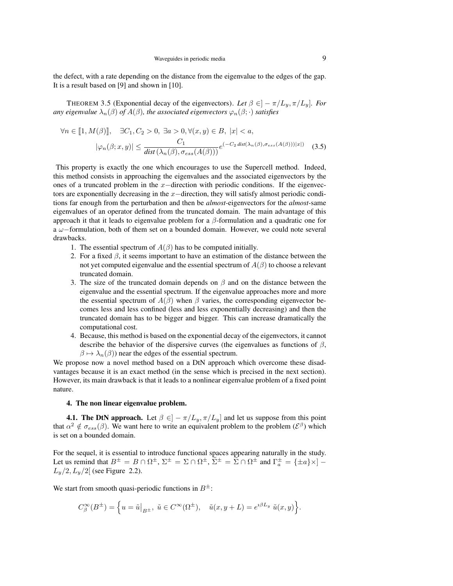the defect, with a rate depending on the distance from the eigenvalue to the edges of the gap. It is a result based on [9] and shown in [10].

THEOREM 3.5 (Exponential decay of the eigenvectors). Let  $\beta \in ]-\pi/L_y, \pi/L_y]$ . For *any eigenvalue*  $\lambda_n(\beta)$  *of*  $A(\beta)$ *, the associated eigenvectors*  $\varphi_n(\beta; \cdot)$  *satisfies* 

$$
\forall n \in [\![1, M(\beta)]\!], \quad \exists C_1, C_2 > 0, \ \exists a > 0, \forall (x, y) \in B, \ |x| < a,
$$

$$
|\varphi_n(\beta; x, y)| \le \frac{C_1}{\text{dist}(\lambda_n(\beta), \sigma_{ess}(A(\beta)))} e^{(-C_2 \text{dist}(\lambda_n(\beta), \sigma_{ess}(A(\beta)))|x|)} \quad (3.5)
$$

This property is exactly the one which encourages to use the Supercell method. Indeed, this method consists in approaching the eigenvalues and the associated eigenvectors by the ones of a truncated problem in the  $x$ −direction with periodic conditions. If the eigenvectors are exponentially decreasing in the x−direction, they will satisfy almost periodic conditions far enough from the perturbation and then be *almost-*eigenvectors for the *almost-*same eigenvalues of an operator defined from the truncated domain. The main advantage of this approach it that it leads to eigenvalue problem for a  $β$ -formulation and a quadratic one for a ω−formulation, both of them set on a bounded domain. However, we could note several drawbacks.

- 1. The essential spectrum of  $A(\beta)$  has to be computed initially.
- 2. For a fixed  $\beta$ , it seems important to have an estimation of the distance between the not yet computed eigenvalue and the essential spectrum of  $A(\beta)$  to choose a relevant truncated domain.
- 3. The size of the truncated domain depends on  $\beta$  and on the distance between the eigenvalue and the essential spectrum. If the eigenvalue approaches more and more the essential spectrum of  $A(\beta)$  when  $\beta$  varies, the corresponding eigenvector becomes less and less confined (less and less exponentially decreasing) and then the truncated domain has to be bigger and bigger. This can increase dramatically the computational cost.
- 4. Because, this method is based on the exponential decay of the eigenvectors, it cannot describe the behavior of the dispersive curves (the eigenvalues as functions of  $\beta$ ,  $\beta \mapsto \lambda_n(\beta)$  near the edges of the essential spectrum.

We propose now a novel method based on a DtN approach which overcome these disadvantages because it is an exact method (in the sense which is precised in the next section). However, its main drawback is that it leads to a nonlinear eigenvalue problem of a fixed point nature.

## 4. The non linear eigenvalue problem.

**4.1. The DtN approach.** Let  $\beta \in ]-\pi/L_y, \pi/L_y]$  and let us suppose from this point that  $\alpha^2 \notin \sigma_{ess}(\beta)$ . We want here to write an equivalent problem to the problem  $(\mathcal{E}^{\beta})$  which is set on a bounded domain.

For the sequel, it is essential to introduce functional spaces appearing naturally in the study. Let us remind that  $B^{\pm} = B \cap \Omega^{\pm}$ ,  $\Sigma^{\pm} = \Sigma \cap \Omega^{\pm}$ ,  $\widetilde{\Sigma}^{\pm} = \widetilde{\Sigma} \cap \Omega^{\pm}$  and  $\Gamma_a^{\pm} = {\pm a} \times ] L_y/2, L_y/2$  (see Figure 2.2).

We start from smooth quasi-periodic functions in  $B^{\pm}$ :

$$
C^{\infty}_{\beta}(B^{\pm}) = \Big\{ u = \tilde{u} \Big|_{B^{\pm}}, \ \tilde{u} \in C^{\infty}(\Omega^{\pm}), \quad \tilde{u}(x, y + L) = e^{i\beta L_y} \ \tilde{u}(x, y) \Big\}.
$$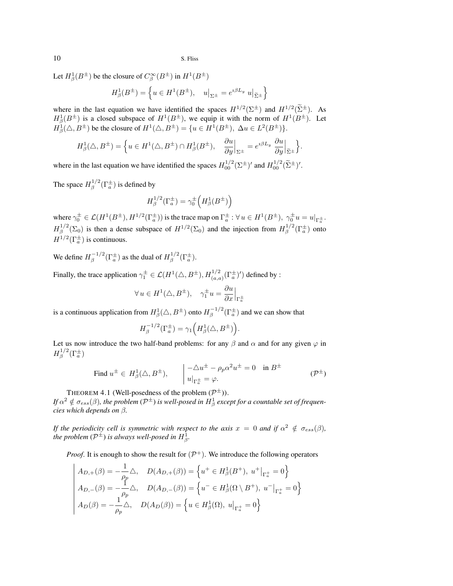Let  $H^1_\beta(B^\pm)$  be the closure of  $C^\infty_\beta(B^\pm)$  in  $H^1(B^\pm)$ 

$$
H_{\beta}^1(B^{\pm})=\left\{u\in H^1(B^{\pm}),\quad u\big|_{\Sigma^{\pm}}=e^{\imath\beta L_y}\ u\big|_{\widetilde{\Sigma}^{\pm}}\right\}
$$

where in the last equation we have identified the spaces  $H^{1/2}(\Sigma^{\pm})$  and  $H^{1/2}(\tilde{\Sigma}^{\pm})$ . As  $H^1_\beta(B^{\pm})$  is a closed subspace of  $H^1(B^{\pm})$ , we equip it with the norm of  $H^1(B^{\pm})$ . Let  $H^1_\beta(\triangle, B^\pm)$  be the closure of  $H^1(\triangle, B^\pm) = \{u \in H^1(B^\pm), \ \Delta u \in L^2(B^\pm)\}.$ 

$$
H_{\beta}^{1}(\triangle, B^{\pm}) = \left\{ u \in H^{1}(\triangle, B^{\pm}) \cap H_{\beta}^{1}(B^{\pm}), \quad \frac{\partial u}{\partial y}\Big|_{\Sigma^{\pm}} = e^{i\beta L_{y}} \frac{\partial u}{\partial y}\Big|_{\widetilde{\Sigma}^{\pm}} \right\}.
$$

where in the last equation we have identified the spaces  $H_{00}^{1/2}(\Sigma^{\pm})'$  and  $H_{00}^{1/2}(\tilde{\Sigma}^{\pm})'$ .

The space  $H^{1/2}_\beta$  $\int_{\beta}^{1/2} (\Gamma_a^{\pm})$  is defined by

$$
H_\beta^{1/2}(\Gamma_a^\pm) = \gamma_0^\pm \Big( H_\beta^1(B^\pm) \Big)
$$

where  $\gamma_0^{\pm} \in \mathcal{L}(H^1(B^{\pm}), H^{1/2}(\Gamma_a^{\pm}))$  is the trace map on  $\Gamma_a^{\pm}$ :  $\forall u \in H^1(B^{\pm}), \gamma_0^{\pm}u = u|_{\Gamma_a^{\pm}}$ .  $H^{1/2}_{\scriptscriptstyle\mathcal{B}}$  $\mathbb{R}^{1/2}(\Sigma_0)$  is then a dense subspace of  $H^{1/2}(\Sigma_0)$  and the injection from  $H^{1/2}_{\beta}$  $\int_{\beta}^{1/2} (\Gamma_a^{\pm})$  onto  $H^{1/2}(\Gamma_a^{\pm})$  is continuous.

We define  $H^{-1/2}_\beta$  $\int_{\beta}^{-1/2} (\Gamma_a^{\pm})$  as the dual of  $H_{\beta}^{1/2}$  $\int_{\beta}^{1/2} (\Gamma^{\pm}_{a}).$ 

Finally, the trace application  $\gamma_1^{\pm} \in \mathcal{L}(H^1(\triangle,B^{\pm}), H_{(a,a)}^{1/2}(\Gamma_a^{\pm})')$  defined by :

$$
\forall u \in H^{1}(\triangle, B^{\pm}), \quad \gamma_{1}^{\pm}u = \frac{\partial u}{\partial x}\Big|_{\Gamma_{a}^{\pm}}
$$

is a continuous application from  $H^1_\beta(\triangle,B^\pm)$  onto  $H^{-1/2}_\beta$  $\int_{\beta}^{-1/2} (\Gamma_a^{\pm})$  and we can show that

$$
H_{\beta}^{-1/2}(\Gamma_a^{\pm})=\gamma_1\Big(H_{\beta}^{1}(\triangle,B^{\pm})\Big)
$$

Let us now introduce the two half-band problems: for any  $\beta$  and  $\alpha$  and for any given  $\varphi$  in  $H^{1/2}_\mathbb{R}$  $\int_\beta^{1/2} (\Gamma_a^\pm)$ 

Find 
$$
u^{\pm} \in H^1_{\beta}(\triangle, B^{\pm}),
$$
  $\begin{vmatrix} -\triangle u^{\pm} - \rho_p \alpha^2 u^{\pm} = 0 & \text{in } B^{\pm} \\ u|_{\Gamma_a^{\pm}} = \varphi. \end{vmatrix}$   $(\mathcal{P}^{\pm})$ 

.

THEOREM 4.1 (Well-posedness of the problem  $(\mathcal{P}^{\pm})$ ).

If  $\alpha^2\notin\sigma_{ess}(\beta)$ , the problem ( $\mathcal{P}^\pm$ ) is well-posed in  $H^1_\beta$  except for a countable set of frequen*cies which depends on* β*.*

*If the periodicity cell is symmetric with respect to the axis*  $x = 0$  *and if*  $\alpha^2 \notin \sigma_{ess}(\beta)$ *,* the problem  $(\mathcal{P}^{\pm})$  is always well-posed in  $H^1_{\beta}$ .

*Proof.* It is enough to show the result for  $(\mathcal{P}^+)$ . We introduce the following operators

$$
A_{D,+}(\beta) = -\frac{1}{\rho_p} \triangle, \quad D(A_{D,+}(\beta)) = \left\{ u^+ \in H^1_\beta(B^+), \ u^+|_{\Gamma^+_a} = 0 \right\}
$$
  
\n
$$
A_{D,-}(\beta) = -\frac{1}{\rho_p} \triangle, \quad D(A_{D,-}(\beta)) = \left\{ u^- \in H^1_\beta(\Omega \setminus B^+), \ u^-|_{\Gamma^+_a} = 0 \right\}
$$
  
\n
$$
A_D(\beta) = -\frac{1}{\rho_p} \triangle, \quad D(A_D(\beta)) = \left\{ u \in H^1_\beta(\Omega), \ u^+|_{\Gamma^+_a} = 0 \right\}
$$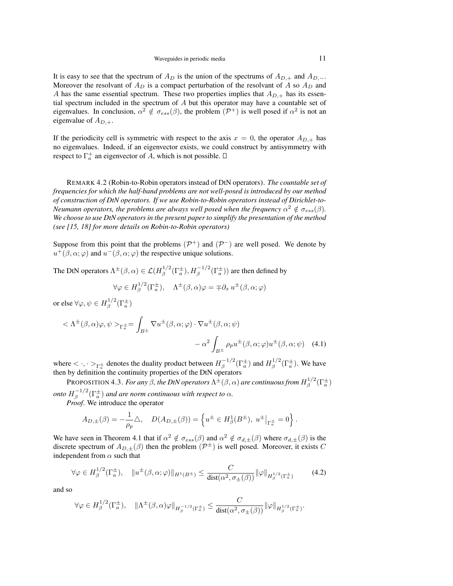It is easy to see that the spectrum of  $A_D$  is the union of the spectrums of  $A_{D,+}$  and  $A_{D,-}$ . Moreover the resolvant of  $A_D$  is a compact perturbation of the resolvant of A so  $A_D$  and A has the same essential spectrum. These two properties implies that  $A_{D,+}$  has its essential spectrum included in the spectrum of  $A$  but this operator may have a countable set of eigenvalues. In conclusion,  $\alpha^2 \notin \sigma_{ess}(\beta)$ , the problem  $(\mathcal{P}^+)$  is well posed if  $\alpha^2$  is not an eigenvalue of  $A_{D,+}$ .

If the periodicity cell is symmetric with respect to the axis  $x = 0$ , the operator  $A_{D,+}$  has no eigenvalues. Indeed, if an eigenvector exists, we could construct by antisymmetry with respect to  $\Gamma_a^+$  an eigenvector of A, which is not possible.

REMARK 4.2 (Robin-to-Robin operators instead of DtN operators). *The countable set of frequencies for which the half-band problems are not well-posed is introduced by our method of construction of DtN operators. If we use Robin-to-Robin operators instead of Dirichlet-to-Neumann operators, the problems are always well posed when the frequency*  $\alpha^2 \notin \sigma_{ess}(\beta)$ *. We choose to use DtN operators in the present paper to simplify the presentation of the method (see [15, 18] for more details on Robin-to-Robin operators)*

Suppose from this point that the problems  $(\mathcal{P}^+)$  and  $(\mathcal{P}^-)$  are well posed. We denote by  $u^+(\beta,\alpha;\varphi)$  and  $u^-(\beta,\alpha;\varphi)$  the respective unique solutions.

The DtN operators  $\Lambda^{\pm}(\beta,\alpha) \in \mathcal{L}(H^{1/2}_{\beta})$  $\int_{\beta}^{1/2} (\Gamma_a^{\pm}), H_{\beta}^{-1/2} (\Gamma_a^{\pm}) )$  are then defined by

$$
\forall \varphi \in H_{\beta}^{1/2}(\Gamma_a^{\pm}), \quad \Lambda^{\pm}(\beta, \alpha)\varphi = \mp \partial_x u^{\pm}(\beta, \alpha; \varphi)
$$

or else  $\forall \varphi, \psi \in H^{1/2}_{\beta}$  $\int_{\beta}^{1/2} (\Gamma_a^{\pm})$ 

$$
\langle \Lambda^{\pm}(\beta,\alpha)\varphi,\psi\rangle_{\Gamma^{\pm}_{a}} = \int_{B^{\pm}} \nabla u^{\pm}(\beta,\alpha;\varphi) \cdot \nabla u^{\pm}(\beta,\alpha;\psi) -\alpha^{2} \int_{B^{\pm}} \rho_{p} u^{\pm}(\beta,\alpha;\varphi) u^{\pm}(\beta,\alpha;\psi) \quad (4.1)
$$

where  $\langle \cdot, \cdot \rangle_{\Gamma_a^{\pm}}$  denotes the duality product between  $H_{\beta}^{-1/2}$  $\int_{\beta}^{-1/2} (\Gamma_a^{\pm})$  and  $H_{\beta}^{1/2}$  $\int_{\beta}^{1/2} (\Gamma_a^{\pm})$ . We have then by definition the continuity properties of the DtN operators

PROPOSITION 4.3. *For any*  $\beta$ *, the DtN operators*  $\Lambda^{\pm}(\beta,\alpha)$  *are continuous from*  $H^{1/2}_\beta$  $\int_\beta^{1/2} (\Gamma_a^\pm)$ *onto*  $H^{-1/2}_\beta$  $\int_{\beta}^{1/2} (\Gamma_a^{\pm})$  and are norm continuous with respect to  $\alpha$ .

*Proof*. We introduce the operator

$$
A_{D,\pm}(\beta) = -\frac{1}{\rho_p} \triangle, \quad D(A_{D,\pm}(\beta)) = \left\{ u^{\pm} \in H^1_{\beta}(B^{\pm}), \ u^{\pm} \big|_{\Gamma^{\pm}_{a}} = 0 \right\}.
$$

We have seen in Theorem 4.1 that if  $\alpha^2 \notin \sigma_{ess}(\beta)$  and  $\alpha^2 \notin \sigma_{d,\pm}(\beta)$  where  $\sigma_{d,\pm}(\beta)$  is the discrete spectrum of  $A_{D,\pm}(\beta)$  then the problem  $(\mathcal{P}^{\pm})$  is well posed. Moreover, it exists C independent from  $\alpha$  such that

$$
\forall \varphi \in H_{\beta}^{1/2}(\Gamma_a^{\pm}), \quad \|u^{\pm}(\beta,\alpha;\varphi)\|_{H^1(B^{\pm})} \le \frac{C}{\text{dist}(\alpha^2,\sigma_{\pm}(\beta))} \|\varphi\|_{H_{\beta}^{1/2}(\Gamma_a^{\pm})} \tag{4.2}
$$

and so

$$
\forall \varphi \in H_{\beta}^{1/2}(\Gamma_a^{\pm}), \quad \|\Lambda^{\pm}(\beta,\alpha)\varphi\|_{H_{\beta}^{-1/2}(\Gamma_a^{\pm})} \leq \frac{C}{\text{dist}(\alpha^2, \sigma_{\pm}(\beta))} \|\varphi\|_{H_{\beta}^{1/2}(\Gamma_a^{\pm})}.
$$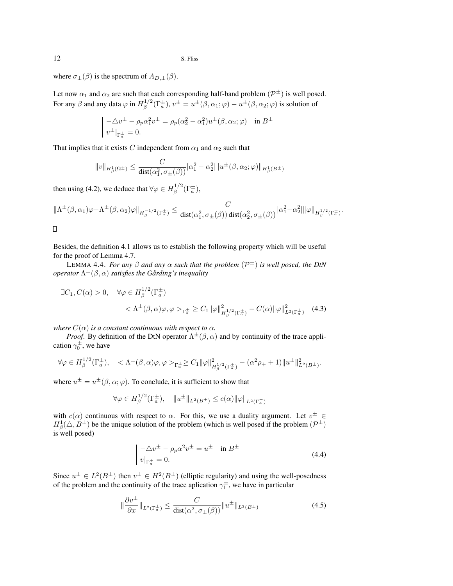where  $\sigma_{\pm}(\beta)$  is the spectrum of  $A_{D,\pm}(\beta)$ .

Let now  $\alpha_1$  and  $\alpha_2$  are such that each corresponding half-band problem  $(\mathcal{P}^{\pm})$  is well posed. For any  $\beta$  and any data  $\varphi$  in  $H^{1/2}_\beta$  $\int_{\beta}^{1/2} (\Gamma^{\pm}_{a}), v^{\pm} = u^{\pm}(\beta, \alpha_{1}; \varphi) - u^{\pm}(\beta, \alpha_{2}; \varphi)$  is solution of

$$
\begin{aligned}\n&\left| \begin{array}{l} -\Delta v^{\pm} - \rho_p \alpha_1^2 v^{\pm} = \rho_p (\alpha_2^2 - \alpha_1^2) u^{\pm} (\beta, \alpha_2; \varphi) & \text{in } B^{\pm} \\
v^{\pm} |_{\Gamma_a^{\pm}} = 0.\n\end{array} \right.\n\end{aligned}
$$

That implies that it exists C independent from  $\alpha_1$  and  $\alpha_2$  such that

$$
||v||_{H^1_{\beta}(\Omega^{\pm})} \le \frac{C}{\text{dist}(\alpha_1^2, \sigma_{\pm}(\beta))} |\alpha_1^2 - \alpha_2^2| ||u^{\pm}(\beta, \alpha_2; \varphi)||_{H^1_{\beta}(B^{\pm})}
$$

then using (4.2), we deduce that  $\forall \varphi \in H^{1/2}_\beta$  $\int_{\beta}^{1/2} (\Gamma_a^{\pm}),$ 

$$
\|\Lambda^{\pm}(\beta,\alpha_1)\varphi-\Lambda^{\pm}(\beta,\alpha_2)\varphi\|_{H^{-1/2}_{\beta}(\Gamma^{\pm}_{a})}\leq \frac{C}{\text{dist}(\alpha_1^2,\sigma_{\pm}(\beta))\,\text{dist}(\alpha_2^2,\sigma_{\pm}(\beta))}|\alpha_1^2-\alpha_2^2|\|\varphi\|_{H^{1/2}_{\beta}(\Gamma^{\pm}_{a})}.
$$

 $\Box$ 

Besides, the definition 4.1 allows us to establish the following property which will be useful for the proof of Lemma 4.7.

LEMMA 4.4. *For any* β *and any* α *such that the problem* (P <sup>±</sup>) *is well posed, the DtN operator*  $\Lambda^{\pm}(\beta,\alpha)$  *satisfies the Gårding's inequality* 

$$
\exists C_1, C(\alpha) > 0, \quad \forall \varphi \in H_\beta^{1/2}(\Gamma_a^{\pm})
$$
  

$$
< \Lambda^{\pm}(\beta, \alpha)\varphi, \varphi>_{\Gamma_a^{\pm}} \ge C_1 \|\varphi\|_{H_\beta^{1/2}(\Gamma_a^{\pm})}^2 - C(\alpha) \|\varphi\|_{L^2(\Gamma_a^{\pm})}^2 \quad (4.3)
$$

*where*  $C(\alpha)$  *is a constant continuous with respect to*  $\alpha$ *.* 

*Proof.* By definition of the DtN operator  $\Lambda^{\pm}(\beta, \alpha)$  and by continuity of the trace application  $\gamma_0^{\pm}$ , we have

$$
\forall \varphi \in H_{\beta}^{1/2}(\Gamma_a^{\pm}), \quad <\Lambda^{\pm}(\beta,\alpha)\varphi, \varphi>_{\Gamma_a^{\pm}} \geq C_1 \|\varphi\|_{H_{\beta}^{1/2}(\Gamma_a^{\pm})}^2 - (\alpha^2 \rho_+ + 1) \|u^{\pm}\|_{L^2(B^{\pm})}^2.
$$

where  $u^{\pm} = u^{\pm}(\beta, \alpha; \varphi)$ . To conclude, it is sufficient to show that

$$
\forall \varphi \in H_{\beta}^{1/2}(\Gamma_a^{\pm}), \quad \|u^{\pm}\|_{L^2(B^{\pm})} \le c(\alpha) \|\varphi\|_{L^2(\Gamma_a^{\pm})}
$$

with  $c(\alpha)$  continuous with respect to  $\alpha$ . For this, we use a duality argument. Let  $v^{\pm} \in$  $H^1_\beta(\triangle, B^{\pm})$  be the unique solution of the problem (which is well posed if the problem  $(\mathcal{P}^{\pm})$ is well posed)

$$
\begin{aligned}\n-\triangle v^{\pm} - \rho_p \alpha^2 v^{\pm} &= u^{\pm} \quad \text{in } B^{\pm} \\
v|_{\Gamma^{\pm}_a} &= 0.\n\end{aligned} \tag{4.4}
$$

Since  $u^{\pm} \in L^2(B^{\pm})$  then  $v^{\pm} \in H^2(B^{\pm})$  (elliptic regularity) and using the well-posedness of the problem and the continuity of the trace aplication  $\gamma_1^{\pm}$ , we have in particular

$$
\left\|\frac{\partial v^{\pm}}{\partial x}\right\|_{L^{2}\left(\Gamma^{\pm}_{a}\right)} \leq \frac{C}{\text{dist}(\alpha^{2}, \sigma_{\pm}(\beta))} \|u^{\pm}\|_{L^{2}(B^{\pm})}
$$
(4.5)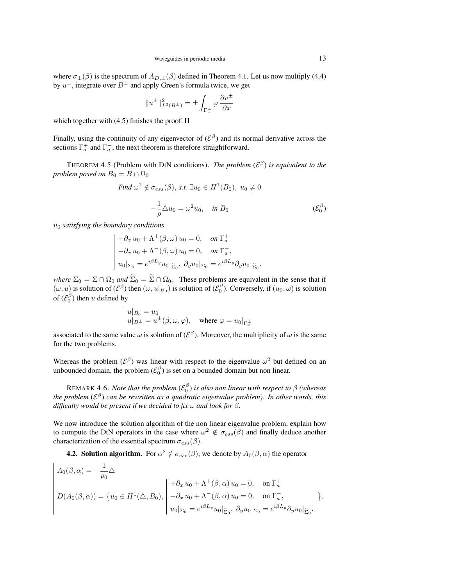where  $\sigma_{\pm}(\beta)$  is the spectrum of  $A_{D,\pm}(\beta)$  defined in Theorem 4.1. Let us now multiply (4.4) by  $u^{\pm}$ , integrate over  $B^{\pm}$  and apply Green's formula twice, we get

$$
||u^{\pm}||_{L^{2}(B^{\pm})}^{2} = \pm \int_{\Gamma_{a}^{\pm}} \varphi \frac{\partial v^{\pm}}{\partial x}
$$

which together with (4.5) finishes the proof.  $\Box$ 

Finally, using the continuity of any eigenvector of  $({\cal E}^{\beta})$  and its normal derivative across the sections  $\Gamma_a^+$  and  $\Gamma_a^-$ , the next theorem is therefore straightforward.

THEOREM 4.5 (Problem with DtN conditions). *The problem*  $(\mathcal{E}^{\beta})$  *is equivalent to the problem posed on*  $B_0 = B \cap \Omega_0$ 

Find 
$$
\omega^2 \notin \sigma_{ess}(\beta)
$$
, s.t.  $\exists u_0 \in H^1(B_0)$ ,  $u_0 \neq 0$ 

$$
-\frac{1}{\rho}\triangle u_0 = \omega^2 u_0, \quad \text{in } B_0 \tag{E_0^{\beta}}
$$

u<sup>0</sup> *satisfying the boundary conditions*

$$
\begin{aligned}\n& + \partial_x u_0 + \Lambda^+(\beta, \omega) u_0 = 0, \quad \text{on } \Gamma_a^+ \\
& - \partial_x u_0 + \Lambda^-(\beta, \omega) u_0 = 0, \quad \text{on } \Gamma_a^-, \\
& u_0|_{\Sigma_0} = e^{i\beta L_y} u_0|_{\Sigma_0}, \ \partial_y u_0|_{\Sigma_0} = e^{i\beta L_y} \partial_y u_0|_{\Sigma_0}.\n\end{aligned}
$$

*where*  $\Sigma_0 = \Sigma \cap \Omega_0$  *and*  $\widetilde{\Sigma}_0 = \widetilde{\Sigma} \cap \Omega_0$ . These problems are equivalent in the sense that if  $(\omega, u)$  is solution of  $(\mathcal{E}^{\beta})$  then  $(\omega, u|_{B_0})$  is solution of  $(\mathcal{E}^{\beta}_0)$ . Conversely, if  $(u_0, \omega)$  is solution of  $(\mathcal{E}_0^{\beta})$  then u defined by

$$
\begin{array}{l} |u|_{B_0}=u_0\\ u|_{B^\pm}=u^\pm(\beta,\omega,\varphi), \quad \text{where } \varphi=u_0|_{\Gamma_a^\pm} \end{array}
$$

associated to the same value  $\omega$  is solution of  $({\cal E}^{\beta})$ . Moreover, the multiplicity of  $\omega$  is the same for the two problems.

Whereas the problem ( $\mathcal{E}^{\beta}$ ) was linear with respect to the eigenvalue  $\omega^2$  but defined on an unbounded domain, the problem  $(\mathcal{E}_0^{\beta})$  is set on a bounded domain but non linear.

REMARK 4.6. *Note that the problem*  $(\mathcal{E}_0^{\beta})$  *is also non linear with respect to*  $\beta$  *(whereas* the problem (ε<sup>β</sup>) can be rewritten as a quadratic eigenvalue problem). In other words, this *difficulty would be present if we decided to fix* ω *and look for* β*.*

We now introduce the solution algorithm of the non linear eigenvalue problem, explain how to compute the DtN operators in the case where  $\omega^2 \notin \sigma_{ess}(\beta)$  and finally deduce another characterization of the essential spectrum  $\sigma_{ess}(\beta)$ .

**4.2. Solution algorithm.** For  $\alpha^2 \notin \sigma_{ess}(\beta)$ , we denote by  $A_0(\beta, \alpha)$  the operator

$$
A_0(\beta,\alpha) = -\frac{1}{\rho_0} \triangle
$$
  
\n
$$
D(A_0(\beta,\alpha)) = \{u_0 \in H^1(\triangle, B_0), \begin{vmatrix} +\partial_x u_0 + \Lambda^+(\beta,\alpha) u_0 = 0, & \text{on } \Gamma_a^+ \\ -\partial_x u_0 + \Lambda^-(\beta,\alpha) u_0 = 0, & \text{on } \Gamma_a^-, \\ u_0|_{\Sigma_0} = e^{i\beta L_y} u_0|_{\widetilde{\Sigma}_0}, & \partial_y u_0|_{\Sigma_0} = e^{i\beta L_y} \partial_y u_0|_{\widetilde{\Sigma}_0}. \end{vmatrix}.
$$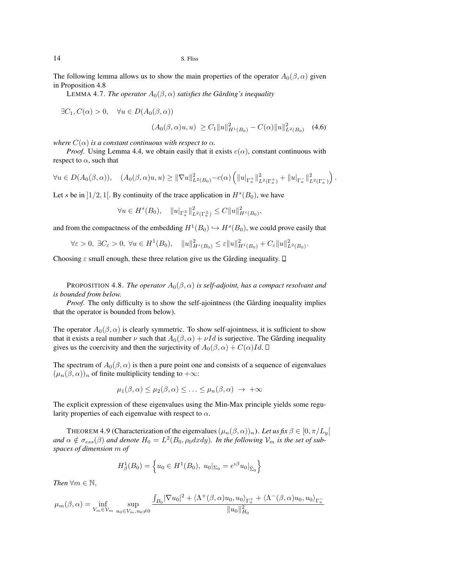The following lemma allows us to show the main properties of the operator  $A_0(\beta, \alpha)$  given in Proposition 4.8

LEMMA 4.7. *The operator*  $A_0(\beta, \alpha)$  *satisfies the Gårding's inequality* 

 $\exists C_1, C(\alpha) > 0, \quad \forall u \in D(A_0(\beta, \alpha))$ 

$$
(A_0(\beta,\alpha)u,u) \ge C_1 \|u\|_{H^1(B_0)}^2 - C(\alpha) \|u\|_{L^2(B_0)}^2 \quad (4.6)
$$

*where*  $C(\alpha)$  *is a constant continuous with respect to*  $\alpha$ *.* 

*Proof.* Using Lemma 4.4, we obtain easily that it exists  $c(\alpha)$ , constant continuous with respect to  $\alpha$ , such that

$$
\forall u \in D(A_0(\beta,\alpha)), \quad (A_0(\beta,\alpha)u, u) \geq \|\nabla u\|_{L^2(B_0)}^2 - c(\alpha) \left( \|u\|_{\Gamma_a^+}\|_{L^2(\Gamma_a^+)}^2 + \|u\|_{\Gamma_a^-}\|_{L^2(\Gamma_a^-)}^2 \right).
$$

Let s be in  $]1/2,1[$ . By continuity of the trace application in  $H<sup>s</sup>(B<sub>0</sub>)$ , we have

$$
\forall u \in H^s(B_0), \quad \|u\|_{\Gamma_a^{\pm}} \|_{L^2(\Gamma_a^{\pm})}^2 \le C \|u\|_{H^s(B_0)}^2,
$$

and from the compactness of the embedding  $H^1(B_0) \hookrightarrow H^s(B_0)$ , we could prove easily that

$$
\forall \varepsilon > 0, \ \exists C_{\varepsilon} > 0, \ \forall u \in H^{1}(B_{0}), \quad \|u\|_{H^{s}(B_{0})}^{2} \leq \varepsilon \|u\|_{H^{1}(B_{0})}^{2} + C_{\varepsilon} \|u\|_{L^{2}(B_{0})}^{2}.
$$

Choosing  $\varepsilon$  small enough, these three relation give us the Gårding inequality.  $\square$ 

PROPOSITION 4.8. *The operator*  $A_0(\beta, \alpha)$  *is self-adjoint, has a compact resolvant and is bounded from below.*

*Proof.* The only difficulty is to show the self-ajointness (the Gårding inequality implies that the operator is bounded from below).

The operator  $A_0(\beta, \alpha)$  is clearly symmetric. To show self-ajointness, it is sufficient to show that it exists a real number  $\nu$  such that  $A_0(\beta, \alpha) + \nu Id$  is surjective. The Gårding inequality gives us the coercivity and then the surjectivity of  $A_0(\beta, \alpha) + C(\alpha)Id$ .  $\Box$ 

The spectrum of  $A_0(\beta, \alpha)$  is then a pure point one and consists of a sequence of eigenvalues  $(\mu_n(\beta, \alpha))_n$  of finite multiplicity tending to + $\infty$ :

$$
\mu_1(\beta,\alpha) \leq \mu_2(\beta,\alpha) \leq \ldots \leq \mu_n(\beta,\alpha) \rightarrow +\infty
$$

The explicit expression of these eigenvalues using the Min-Max principle yields some regularity properties of each eigenvalue with respect to  $\alpha$ .

THEOREM 4.9 (Characterization of the eigenvalues  $(\mu_n(\beta, \alpha))_n$ ). Let us fix  $\beta \in [0, \pi/L_y[$ and  $\alpha \notin \sigma_{ess}(\beta)$  and denote  $H_0 = L^2(B_0, \rho_0 dx dy)$ . In the following  $\mathcal{V}_m$  is the set of sub*spaces of dimension* m *of*

$$
H_{\beta}^{1}(B_{0}) = \left\{ u_{0} \in H^{1}(B_{0}), u_{0}|_{\Sigma_{0}} = e^{i\beta} u_{0}|_{\widetilde{\Sigma}_{0}} \right\}
$$

*Then*  $\forall m \in \mathbb{N}$ ,

$$
\mu_m(\beta,\alpha) = \inf_{V_m \in \mathcal{V}_m} \sup_{u_0 \in V_m, u_0 \neq 0} \frac{\int_{B_0} |\nabla u_0|^2 + \langle \Lambda^+(\beta, \alpha) u_0, u_0 \rangle_{\Gamma_a^+} + \langle \Lambda^-(\beta, \alpha) u_0, u_0 \rangle_{\Gamma_a^-}}{||u_0||_{H_0}^2}
$$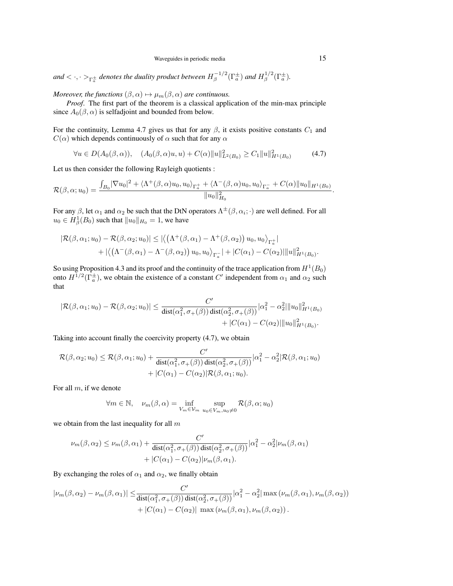and  $<\cdot,\cdot>_{\Gamma_a^\pm}$  denotes the duality product between  $H_\beta^{-1/2}$  $\int_{\beta}^{-1/2} (\Gamma_a^{\pm})$  and  $H_{\beta}^{1/2}$  $\int_{\beta}^{1/2} (\Gamma_a^{\pm}).$ 

*Moreover, the functions*  $(\beta, \alpha) \mapsto \mu_m(\beta, \alpha)$  *are continuous.* 

*Proof*. The first part of the theorem is a classical application of the min-max principle since  $A_0(\beta, \alpha)$  is selfadjoint and bounded from below.

For the continuity, Lemma 4.7 gives us that for any  $\beta$ , it exists positive constants  $C_1$  and  $C(\alpha)$  which depends continuously of  $\alpha$  such that for any  $\alpha$ 

$$
\forall u \in D(A_0(\beta, \alpha)), \quad (A_0(\beta, \alpha)u, u) + C(\alpha) \|u\|_{L^2(B_0)}^2 \ge C_1 \|u\|_{H^1(B_0)}^2 \tag{4.7}
$$

Let us then consider the following Rayleigh quotients :

$$
\mathcal{R}(\beta,\alpha;u_0)=\frac{\int_{B_0}|\nabla u_0|^2+\langle\Lambda^+(\beta,\alpha)u_0,u_0\rangle_{\Gamma_a^+}+\langle\Lambda^-(\beta,\alpha)u_0,u_0\rangle_{\Gamma_a^-}+C(\alpha)\|u_0\|_{H^1(B_0)}}{\|u_0\|_{H_0}^2}.
$$

For any  $\beta$ , let  $\alpha_1$  and  $\alpha_2$  be such that the DtN operators  $\Lambda^{\pm}(\beta,\alpha_i;\cdot)$  are well defined. For all  $u_0 \in H^1_\beta(B_0)$  such that  $\|u_0\|_{H_0} = 1$ , we have

$$
|\mathcal{R}(\beta,\alpha_1;u_0)-\mathcal{R}(\beta,\alpha_2;u_0)| \leq |\langle (\Lambda^+(\beta,\alpha_1)-\Lambda^+(\beta,\alpha_2)) u_0, u_0 \rangle_{\Gamma_a^+}| + |\langle (\Lambda^-(\beta,\alpha_1)-\Lambda^-(\beta,\alpha_2)) u_0, u_0 \rangle_{\Gamma_a^-}| + |C(\alpha_1)-C(\alpha_2)| ||u||^2_{H^1(B_0)}.
$$

So using Proposition 4.3 and its proof and the continuity of the trace application from  $H^1(B_0)$ onto  $H^{1/2}(\Gamma_a^{\pm})$ , we obtain the existence of a constant C' independent from  $\alpha_1$  and  $\alpha_2$  such that

$$
|\mathcal{R}(\beta,\alpha_1;u_0) - \mathcal{R}(\beta,\alpha_2;u_0)| \leq \frac{C'}{\text{dist}(\alpha_1^2,\sigma_+(\beta))} \text{dist}(\alpha_2^2,\sigma_+(\beta)) |\alpha_1^2 - \alpha_2^2| \|u_0\|_{H^1(B_0)}^2 + |C(\alpha_1) - C(\alpha_2)| \|u_0\|_{H^1(B_0)}^2.
$$

Taking into account finally the coercivity property (4.7), we obtain

$$
\mathcal{R}(\beta,\alpha_2;u_0) \leq \mathcal{R}(\beta,\alpha_1;u_0) + \frac{C'}{\text{dist}(\alpha_1^2,\sigma_+(\beta))\text{dist}(\alpha_2^2,\sigma_+(\beta))}|\alpha_1^2 - \alpha_2^2|\mathcal{R}(\beta,\alpha_1;u_0) + |C(\alpha_1) - C(\alpha_2)|\mathcal{R}(\beta,\alpha_1;u_0).
$$

For all  $m$ , if we denote

$$
\forall m \in \mathbb{N}, \quad \nu_m(\beta, \alpha) = \inf_{V_m \in V_m} \sup_{u_0 \in V_m, u_0 \neq 0} \mathcal{R}(\beta, \alpha; u_0)
$$

we obtain from the last inequality for all  $m$ 

$$
\nu_m(\beta, \alpha_2) \le \nu_m(\beta, \alpha_1) + \frac{C'}{\text{dist}(\alpha_1^2, \sigma_+(\beta)) \text{dist}(\alpha_2^2, \sigma_+(\beta))} |\alpha_1^2 - \alpha_2^2| \nu_m(\beta, \alpha_1) + |C(\alpha_1) - C(\alpha_2)| \nu_m(\beta, \alpha_1).
$$

By exchanging the roles of  $\alpha_1$  and  $\alpha_2$ , we finally obtain

$$
|\nu_m(\beta,\alpha_2) - \nu_m(\beta,\alpha_1)| \leq \frac{C'}{\text{dist}(\alpha_1^2,\sigma_+(\beta)) \cdot \text{dist}(\alpha_2^2,\sigma_+(\beta))} |\alpha_1^2 - \alpha_2^2| \max(\nu_m(\beta,\alpha_1),\nu_m(\beta,\alpha_2)) + |C(\alpha_1) - C(\alpha_2)| \max(\nu_m(\beta,\alpha_1),\nu_m(\beta,\alpha_2)).
$$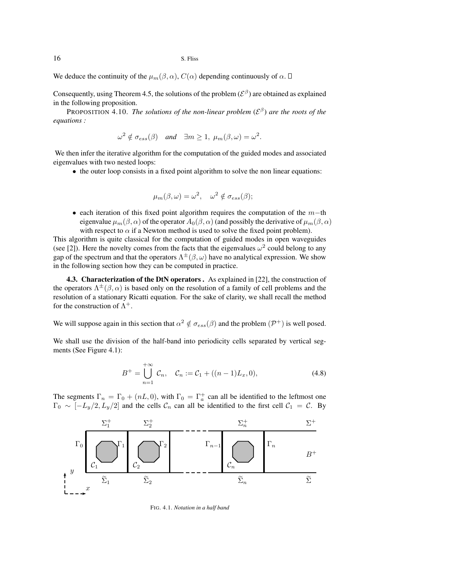We deduce the continuity of the  $\mu_m(\beta, \alpha)$ ,  $C(\alpha)$  depending continuously of  $\alpha$ .  $\square$ 

Consequently, using Theorem 4.5, the solutions of the problem ( $\mathcal{E}^{\beta}$ ) are obtained as explained in the following proposition.

**PROPOSITION 4.10. The solutions of the non-linear problem (** $\mathcal{E}^{\beta}$ **) are the roots of the** *equations :*

$$
\omega^2 \notin \sigma_{ess}(\beta)
$$
 and  $\exists m \ge 1$ ,  $\mu_m(\beta, \omega) = \omega^2$ .

We then infer the iterative algorithm for the computation of the guided modes and associated eigenvalues with two nested loops:

• the outer loop consists in a fixed point algorithm to solve the non linear equations:

$$
\mu_m(\beta,\omega) = \omega^2, \quad \omega^2 \notin \sigma_{ess}(\beta);
$$

• each iteration of this fixed point algorithm requires the computation of the  $m$ −th eigenvalue  $\mu_m(\beta, \alpha)$  of the operator  $A_0(\beta, \alpha)$  (and possibly the derivative of  $\mu_m(\beta, \alpha)$ with respect to  $\alpha$  if a Newton method is used to solve the fixed point problem).

This algorithm is quite classical for the computation of guided modes in open waveguides (see [2]). Here the novelty comes from the facts that the eigenvalues  $\omega^2$  could belong to any gap of the spectrum and that the operators  $\Lambda^{\pm}(\beta,\omega)$  have no analytical expression. We show in the following section how they can be computed in practice.

**4.3. Characterization of the DtN operators.** As explained in [22], the construction of the operators  $\Lambda^{\pm}(\beta,\alpha)$  is based only on the resolution of a family of cell problems and the resolution of a stationary Ricatti equation. For the sake of clarity, we shall recall the method for the construction of  $\Lambda^+$ .

We will suppose again in this section that  $\alpha^2 \notin \sigma_{ess}(\beta)$  and the problem  $(\mathcal{P}^+)$  is well posed.

We shall use the division of the half-band into periodicity cells separated by vertical segments (See Figure 4.1):

$$
B^{+} = \bigcup_{n=1}^{+\infty} C_n, \quad C_n := C_1 + ((n-1)L_x, 0), \tag{4.8}
$$

The segments  $\Gamma_n = \Gamma_0 + (nL, 0)$ , with  $\Gamma_0 = \Gamma_a^+$  can all be identified to the leftmost one  $\Gamma_0 \sim [-L_y/2, L_y/2]$  and the cells  $\mathcal{C}_n$  can all be identified to the first cell  $\mathcal{C}_1 = \mathcal{C}$ . By



FIG. 4.1. *Notation in a half band*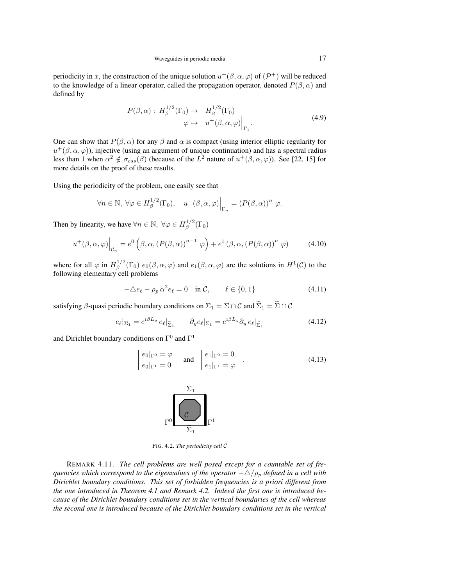periodicity in x, the construction of the unique solution  $u^+(\beta,\alpha,\varphi)$  of  $(\mathcal{P}^+)$  will be reduced to the knowledge of a linear operator, called the propagation operator, denoted  $P(\beta, \alpha)$  and defined by

$$
P(\beta, \alpha): H_{\beta}^{1/2}(\Gamma_0) \to H_{\beta}^{1/2}(\Gamma_0)
$$
  

$$
\varphi \mapsto u^+(\beta, \alpha, \varphi)\Big|_{\Gamma_1}.
$$
 (4.9)

One can show that  $P(\beta, \alpha)$  for any  $\beta$  and  $\alpha$  is compact (using interior elliptic regularity for  $u^+(\beta,\alpha,\varphi)$ ), injective (using an argument of unique continuation) and has a spectral radius less than 1 when  $\alpha^2 \notin \sigma_{ess}(\beta)$  (because of the  $L^2$  nature of  $u^+(\beta,\alpha,\varphi)$ ). See [22, 15] for more details on the proof of these results.

Using the periodicity of the problem, one easily see that

$$
\forall n \in \mathbb{N}, \ \forall \varphi \in H_{\beta}^{1/2}(\Gamma_0), \quad u^+(\beta, \alpha, \varphi)\Big|_{\Gamma_n} = (P(\beta, \alpha))^n \varphi.
$$

Then by linearity, we have  $\forall n \in \mathbb{N}, \ \forall \varphi \in H^{1/2}_\beta$  $\int_{\beta}^{\cdot 1/2} (\Gamma_0)$ 

$$
u^+(\beta,\alpha,\varphi)\Big|_{\mathcal{C}_n} = e^0\left(\beta,\alpha,(P(\beta,\alpha))^{n-1}\varphi\right) + e^1\left(\beta,\alpha,(P(\beta,\alpha))^n\varphi\right) \tag{4.10}
$$

where for all  $\varphi$  in  $H^{1/2}_\beta$  $e_1^{(1/2)}(\Gamma_0) e_0(\beta,\alpha,\varphi)$  and  $e_1(\beta,\alpha,\varphi)$  are the solutions in  $H^1(\mathcal{C})$  to the following elementary cell problems

$$
-\Delta e_{\ell} - \rho_p \alpha^2 e_{\ell} = 0 \quad \text{in } \mathcal{C}, \qquad \ell \in \{0, 1\} \tag{4.11}
$$

satisfying  $\beta$ -quasi periodic boundary conditions on  $\Sigma_1 = \Sigma \cap C$  and  $\widetilde{\Sigma}_1 = \widetilde{\Sigma} \cap C$ 

$$
e_{\ell}|_{\Sigma_1} = e^{i\beta L_y} e_{\ell}|_{\widetilde{\Sigma}_1} \qquad \partial_y e_{\ell}|_{\Sigma_1} = e^{i\beta L_y} \partial_y e_{\ell}|_{\widetilde{\Sigma}_1}
$$
(4.12)

and Dirichlet boundary conditions on  $\Gamma^0$  and  $\Gamma^1$ 

$$
\begin{vmatrix} e_0|_{\Gamma^0} = \varphi \\ e_0|_{\Gamma^1} = 0 \end{vmatrix} \text{ and } \begin{vmatrix} e_1|_{\Gamma^0} = 0 \\ e_1|_{\Gamma^1} = \varphi \end{vmatrix} . \tag{4.13}
$$



FIG. 4.2. *The periodicity cell* C

REMARK 4.11. *The cell problems are well posed except for a countable set of frequencies which correspond to the eigenvalues of the operator*  $-\Delta/\rho_p$  *defined in a cell with Dirichlet boundary conditions. This set of forbidden frequencies is a priori different from the one introduced in Theorem 4.1 and Remark 4.2. Indeed the first one is introduced because of the Dirichlet boundary conditions set in the vertical boundaries of the cell whereas the second one is introduced because of the Dirichlet boundary conditions set in the vertical*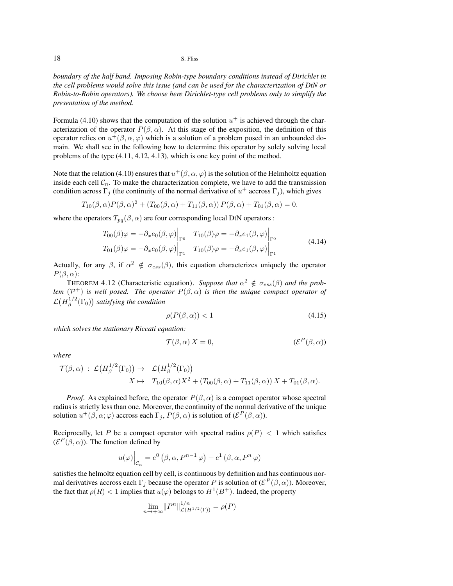*boundary of the half band. Imposing Robin-type boundary conditions instead of Dirichlet in the cell problems would solve this issue (and can be used for the characterization of DtN or Robin-to-Robin operators). We choose here Dirichlet-type cell problems only to simplify the presentation of the method.*

Formula (4.10) shows that the computation of the solution  $u^+$  is achieved through the characterization of the operator  $P(\beta, \alpha)$ . At this stage of the exposition, the definition of this operator relies on  $u^+(\beta,\alpha,\varphi)$  which is a solution of a problem posed in an unbounded domain. We shall see in the following how to determine this operator by solely solving local problems of the type (4.11, 4.12, 4.13), which is one key point of the method.

Note that the relation (4.10) ensures that  $u^+(\beta,\alpha,\varphi)$  is the solution of the Helmholtz equation inside each cell  $C_n$ . To make the characterization complete, we have to add the transmission condition across  $\Gamma_j$  (the continuity of the normal derivative of  $u^+$  accross  $\Gamma_j$ ), which gives

$$
T_{10}(\beta,\alpha)P(\beta,\alpha)^{2} + (T_{00}(\beta,\alpha) + T_{11}(\beta,\alpha))P(\beta,\alpha) + T_{01}(\beta,\alpha) = 0.
$$

where the operators  $T_{pq}(\beta, \alpha)$  are four corresponding local DtN operators :

$$
T_{00}(\beta)\varphi = -\partial_x e_0(\beta, \varphi)\Big|_{\Gamma^0} \quad T_{10}(\beta)\varphi = -\partial_x e_1(\beta, \varphi)\Big|_{\Gamma^0}
$$
  
\n
$$
T_{01}(\beta)\varphi = -\partial_x e_0(\beta, \varphi)\Big|_{\Gamma^1} \quad T_{10}(\beta)\varphi = -\partial_x e_1(\beta, \varphi)\Big|_{\Gamma^1}
$$
\n(4.14)

Actually, for any  $\beta$ , if  $\alpha^2 \notin \sigma_{ess}(\beta)$ , this equation characterizes uniquely the operator  $P(\beta,\alpha)$ :

THEOREM 4.12 (Characteristic equation). *Suppose that*  $\alpha^2 \notin \sigma_{ess}(\beta)$  *and the problem*  $(\mathcal{P}^+)$  *is well posed. The operator*  $P(\beta,\alpha)$  *is then the unique compact operator of*  ${\cal L}(H_{\beta}^{1/2}% ,\mathcal{H}_{\beta}^{1/2})=H_{\beta}^{1/2}(\mathcal{H},\mathcal{H}_{\beta}^{1/2})$  $\int_{\beta}^{1/2}(\Gamma_0)$  satisfying the condition

$$
\rho(P(\beta,\alpha)) < 1\tag{4.15}
$$

*which solves the stationary Riccati equation:*

$$
\mathcal{T}(\beta,\alpha) X = 0, \qquad (\mathcal{E}^P(\beta,\alpha))
$$

*where*

$$
\mathcal{T}(\beta,\alpha) : \mathcal{L}\big(H_\beta^{1/2}(\Gamma_0)\big) \to \mathcal{L}\big(H_\beta^{1/2}(\Gamma_0)\big) X \mapsto T_{10}(\beta,\alpha)X^2 + (T_{00}(\beta,\alpha) + T_{11}(\beta,\alpha)) X + T_{01}(\beta,\alpha).
$$

*Proof.* As explained before, the operator  $P(\beta, \alpha)$  is a compact operator whose spectral radius is strictly less than one. Moreover, the continuity of the normal derivative of the unique solution  $u^+(\beta,\alpha;\varphi)$  accross each  $\Gamma_j$ ,  $P(\beta,\alpha)$  is solution of  $(\mathcal{E}^P(\beta,\alpha))$ .

Reciprocally, let P be a compact operator with spectral radius  $\rho(P) < 1$  which satisfies  $(\mathcal{E}^P(\beta,\alpha))$ . The function defined by

$$
u(\varphi)\Big|_{\mathcal{C}_n} = e^0\left(\beta, \alpha, P^{n-1}\varphi\right) + e^1\left(\beta, \alpha, P^n\varphi\right)
$$

satisfies the helmoltz equation cell by cell, is continuous by definition and has continuous normal derivatives accross each  $\Gamma_j$  because the operator P is solution of  $(\mathcal{E}^P(\beta,\alpha))$ . Moreover, the fact that  $\rho(R) < 1$  implies that  $u(\varphi)$  belongs to  $H^1(B^+)$ . Indeed, the property

$$
\lim_{n \to +\infty} ||P^n||_{\mathcal{L}(H^{1/2}(\Gamma))}^{1/n} = \rho(P)
$$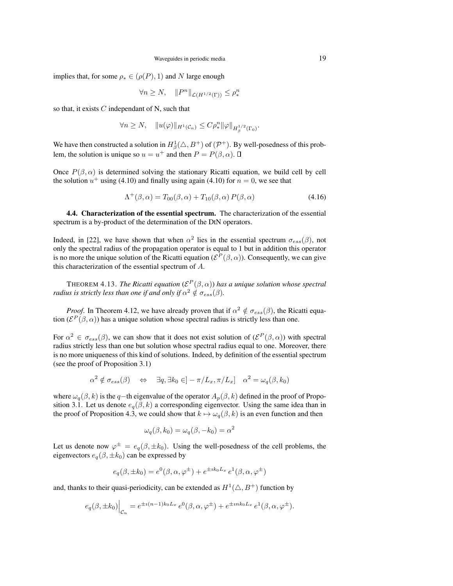implies that, for some  $\rho_* \in (\rho(P), 1)$  and N large enough

$$
\forall n \ge N, \quad \|P^n\|_{\mathcal{L}(H^{1/2}(\Gamma))} \le \rho_*^n
$$

so that, it exists  $C$  independant of N, such that

$$
\forall n\geq N,\quad \|u(\varphi)\|_{H^1(\mathcal{C}_n)}\leq C\rho_*^n\|\varphi\|_{H^{1/2}_\beta(\Gamma_0)}.
$$

We have then constructed a solution in  $H^1_\beta(\triangle, B^+)$  of  $(\mathcal{P}^+)$ . By well-posedness of this problem, the solution is unique so  $u = u^+$  and then  $P = P(\beta, \alpha)$ .

Once  $P(\beta, \alpha)$  is determined solving the stationary Ricatti equation, we build cell by cell the solution  $u^+$  using (4.10) and finally using again (4.10) for  $n = 0$ , we see that

$$
\Lambda^+(\beta,\alpha) = T_{00}(\beta,\alpha) + T_{10}(\beta,\alpha) P(\beta,\alpha)
$$
\n(4.16)

4.4. Characterization of the essential spectrum. The characterization of the essential spectrum is a by-product of the determination of the DtN operators.

Indeed, in [22], we have shown that when  $\alpha^2$  lies in the essential spectrum  $\sigma_{ess}(\beta)$ , not only the spectral radius of the propagation operator is equal to 1 but in addition this operator is no more the unique solution of the Ricatti equation ( $\mathcal{E}^P(\beta,\alpha)$ ). Consequently, we can give this characterization of the essential spectrum of A.

THEOREM 4.13. *The Ricatti equation* ( $\mathcal{E}^P(\beta,\alpha)$ ) *has a unique solution whose spectral radius is strictly less than one if and only if*  $\alpha^2 \notin \sigma_{ess}(\beta)$ *.* 

*Proof.* In Theorem 4.12, we have already proven that if  $\alpha^2 \notin \sigma_{ess}(\beta)$ , the Ricatti equation ( $\mathcal{E}^P(\beta,\alpha)$ ) has a unique solution whose spectral radius is strictly less than one.

For  $\alpha^2 \in \sigma_{ess}(\beta)$ , we can show that it does not exist solution of  $(\mathcal{E}^P(\beta,\alpha))$  with spectral radius strictly less than one but solution whose spectral radius equal to one. Moreover, there is no more uniqueness of this kind of solutions. Indeed, by definition of the essential spectrum (see the proof of Proposition 3.1)

$$
\alpha^2 \notin \sigma_{ess}(\beta) \quad \Leftrightarrow \quad \exists q, \exists k_0 \in ]-\pi/L_x, \pi/L_x] \quad \alpha^2 = \omega_q(\beta, k_0)
$$

where  $\omega_q(\beta, k)$  is the q−th eigenvalue of the operator  $A_p(\beta, k)$  defined in the proof of Proposition 3.1. Let us denote  $e_q(\beta, k)$  a corresponding eigenvector. Using the same idea than in the proof of Proposition 4.3, we could show that  $k \mapsto \omega_q(\beta, k)$  is an even function and then

$$
\omega_q(\beta, k_0) = \omega_q(\beta, -k_0) = \alpha^2
$$

Let us denote now  $\varphi^{\pm} = e_q(\beta, \pm k_0)$ . Using the well-posedness of the cell problems, the eigenvectors  $e_q(\beta, \pm k_0)$  can be expressed by

$$
e_q(\beta, \pm k_0) = e^0(\beta, \alpha, \varphi^{\pm}) + e^{\pm ik_0L_x} e^1(\beta, \alpha, \varphi^{\pm})
$$

and, thanks to their quasi-periodicity, can be extended as  $H^1(\triangle, B^+)$  function by

$$
e_q(\beta, \pm k_0)\Big|_{\mathcal{C}_n} = e^{\pm i(n-1)k_0 L_x} e^0(\beta, \alpha, \varphi^{\pm}) + e^{\pm i n k_0 L_x} e^1(\beta, \alpha, \varphi^{\pm}).
$$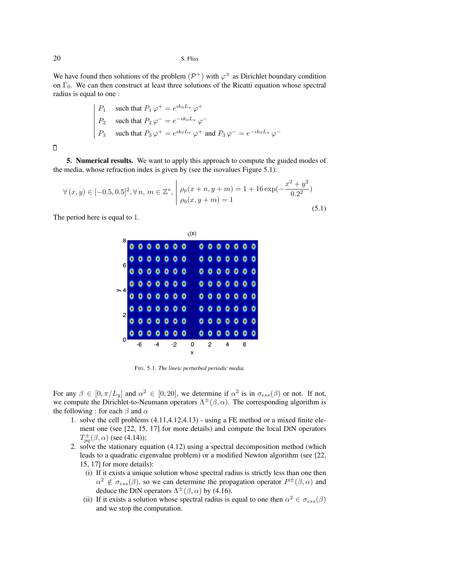We have found then solutions of the problem  $(\mathcal{P}^+)$  with  $\varphi^{\pm}$  as Dirichlet boundary condition on  $\Gamma_0$ . We can then construct at least three solutions of the Ricatti equation whose spectral radius is equal to one :

$$
P_1 \quad \text{such that } P_1 \varphi^+ = e^{ik_0 L_x} \varphi^+
$$
  
\n
$$
P_2 \quad \text{such that } P_2 \varphi^- = e^{-ik_0 L_x} \varphi^-
$$
  
\n
$$
P_3 \quad \text{such that } P_3 \varphi^+ = e^{ik_0 L_x} \varphi^+ \text{ and } P_3 \varphi^- = e^{-ik_0 L_x} \varphi^-
$$

 $\Box$ 

5. Numerical results. We want to apply this approach to compute the guided modes of the media, whose refraction index is given by (see the isovalues Figure 5.1):

$$
\forall (x, y) \in [-0.5, 0.5]^2, \forall n, m \in \mathbb{Z}^*, \ \left| \rho_p(x + n, y + m) = 1 + 16 \exp(-\frac{x^2 + y^2}{0.2^2}) \right|_{p_0(x, y + m)} \leq 1
$$
\n(5.1)

The period here is equal to 1.



FIG. 5.1. *The lineic perturbed periodic media.*

For any  $\beta \in [0, \pi/L_y]$  and  $\alpha^2 \in [0, 20]$ , we determine if  $\alpha^2$  is in  $\sigma_{ess}(\beta)$  or not. If not, we compute the Dirichlet-to-Neumann operators  $\Lambda^{\pm}(\beta,\alpha)$ . The corresponding algorithm is the following : for each  $\beta$  and  $\alpha$ 

- 1. solve the cell problems (4.11,4.12,4.13) using a FE method or a mixed finite element one (see [22, 15, 17] for more details) and compute the local DtN operators  $T^{\pm}_{pq}(\beta,\alpha)$  (see (4.14));
- 2. solve the stationary equation (4.12) using a spectral decomposition method (which leads to a quadratic eigenvalue problem) or a modified Newton algorithm (see [22, 15, 17] for more details):
	- (i) If it exists a unique solution whose spectral radius is strictly less than one then  $\alpha^2 \notin \sigma_{ess}(\beta)$ , so we can determine the propagation operator  $P^{\pm}(\beta,\alpha)$  and deduce the DtN operators  $\Lambda^{\pm}(\beta,\alpha)$  by (4.16).
	- (ii) If it exists a solution whose spectral radius is equal to one then  $\alpha^2 \in \sigma_{ess}(\beta)$ and we stop the computation.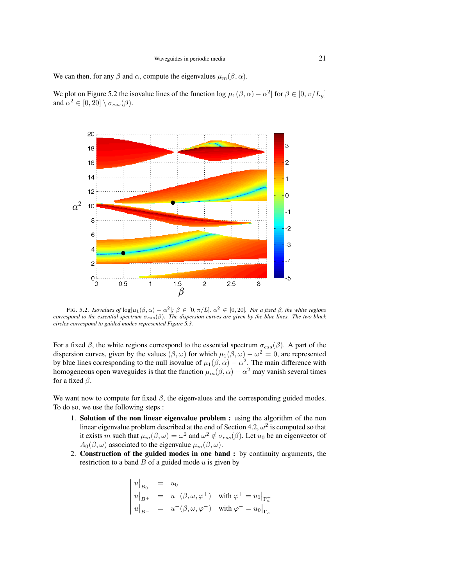We can then, for any  $\beta$  and  $\alpha$ , compute the eigenvalues  $\mu_m(\beta, \alpha)$ .

We plot on Figure 5.2 the isovalue lines of the function  $\log|\mu_1(\beta,\alpha) - \alpha^2|$  for  $\beta \in [0, \pi/L_y]$ and  $\alpha^2 \in [0, 20] \setminus \sigma_{ess}(\beta)$ .



FIG. 5.2. *Isovalues of*  $\log|\mu_1(\beta,\alpha) - \alpha^2|$ ;  $\beta \in [0,\pi/L]$ ,  $\alpha^2 \in [0,20]$ . For a fixed  $\beta$ , the white regions *correspond to the essential spectrum* σess(β)*. The dispersion curves are given by the blue lines. The two black circles correspond to guided modes represented Figure 5.3.*

For a fixed  $\beta$ , the white regions correspond to the essential spectrum  $\sigma_{ess}(\beta)$ . A part of the dispersion curves, given by the values  $(\beta, \omega)$  for which  $\mu_1(\beta, \omega) - \omega^2 = 0$ , are represented by blue lines corresponding to the null isovalue of  $\mu_1(\beta,\alpha) - \alpha^2$ . The main difference with homogeneous open waveguides is that the function  $\mu_m(\beta, \alpha) - \alpha^2$  may vanish several times for a fixed  $\beta$ .

We want now to compute for fixed  $\beta$ , the eigenvalues and the corresponding guided modes. To do so, we use the following steps :

- 1. Solution of the non linear eigenvalue problem : using the algorithm of the non linear eigenvalue problem described at the end of Section 4.2,  $\omega^2$  is computed so that it exists m such that  $\mu_m(\beta,\omega) = \omega^2$  and  $\omega^2 \notin \sigma_{ess}(\beta)$ . Let  $u_0$  be an eigenvector of  $A_0(\beta,\omega)$  associated to the eigenvalue  $\mu_m(\beta,\omega)$ .
- 2. Construction of the guided modes in one band : by continuity arguments, the restriction to a band  $B$  of a guided mode  $u$  is given by

$$
\begin{vmatrix} u|_{B_0} = u_0 \\ u|_{B^+} = u^+(\beta, \omega, \varphi^+) & \text{with } \varphi^+ = u_0|_{\Gamma_a^+} \\ u|_{B^-} = u^-(\beta, \omega, \varphi^-) & \text{with } \varphi^- = u_0|_{\Gamma_a^-} \end{vmatrix}
$$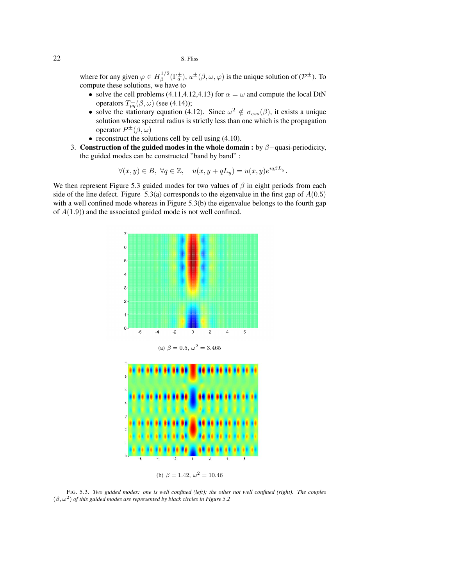where for any given  $\varphi \in H^{1/2}_\beta$  $\int_{\beta}^{1/2} (\Gamma_a^{\pm}), u^{\pm}(\beta, \omega, \varphi)$  is the unique solution of  $({\cal P}^{\pm})$ . To compute these solutions, we have to

- solve the cell problems (4.11,4.12,4.13) for  $\alpha = \omega$  and compute the local DtN operators  $T_{pq}^{\pm}(\beta,\omega)$  (see (4.14));
- solve the stationary equation (4.12). Since  $\omega^2 \notin \sigma_{ess}(\beta)$ , it exists a unique solution whose spectral radius is strictly less than one which is the propagation operator  $P^{\pm}(\beta,\omega)$
- reconstruct the solutions cell by cell using (4.10).
- 3. Construction of the guided modes in the whole domain : by  $\beta$ -quasi-periodicity, the guided modes can be constructed "band by band" :

$$
\forall (x,y)\in B,\ \forall q\in\mathbb{Z},\quad u(x,y+qL_y)=u(x,y)e^{iq\beta L_y}.
$$

We then represent Figure 5.3 guided modes for two values of  $\beta$  in eight periods from each side of the line defect. Figure 5.3(a) corresponds to the eigenvalue in the first gap of  $A(0.5)$ with a well confined mode whereas in Figure 5.3(b) the eigenvalue belongs to the fourth gap of  $A(1.9)$  and the associated guided mode is not well confined.







(b)  $\beta = 1.42, \omega^2 = 10.46$ 

FIG. 5.3. *Two guided modes: one is well confined (left); the other not well confined (right). The couples*  $(\beta, \omega^2)$  of this guided modes are represented by black circles in Figure 5.2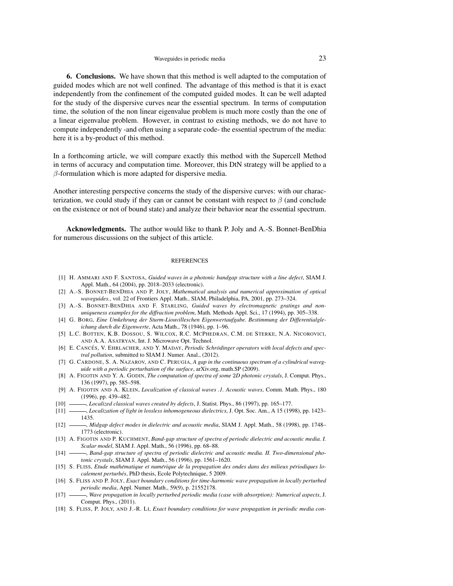## Waveguides in periodic media 23

6. Conclusions. We have shown that this method is well adapted to the computation of guided modes which are not well confined. The advantage of this method is that it is exact independently from the confinement of the computed guided modes. It can be well adapted for the study of the dispersive curves near the essential spectrum. In terms of computation time, the solution of the non linear eigenvalue problem is much more costly than the one of a linear eigenvalue problem. However, in contrast to existing methods, we do not have to compute independently -and often using a separate code- the essential spectrum of the media: here it is a by-product of this method.

In a forthcoming article, we will compare exactly this method with the Supercell Method in terms of accuracy and computation time. Moreover, this DtN strategy will be applied to a  $\beta$ -formulation which is more adapted for dispersive media.

Another interesting perspective concerns the study of the dispersive curves: with our characterization, we could study if they can or cannot be constant with respect to  $\beta$  (and conclude on the existence or not of bound state) and analyze their behavior near the essential spectrum.

Acknowledgments. The author would like to thank P. Joly and A.-S. Bonnet-BenDhia for numerous discussions on the subject of this article.

### **REFERENCES**

- [1] H. AMMARI AND F. SANTOSA, *Guided waves in a photonic bandgap structure with a line defect*, SIAM J. Appl. Math., 64 (2004), pp. 2018–2033 (electronic).
- [2] A.-S. BONNET-BENDHIA AND P. JOLY, *Mathematical analysis and numerical approximation of optical waveguides.*, vol. 22 of Frontiers Appl. Math., SIAM, Philadelphia, PA, 2001, pp. 273–324.
- [3] A.-S. BONNET-BENDHIA AND F. STARLING, *Guided waves by electromagnetic gratings and nonuniqueness examples for the diffraction problem*, Math. Methods Appl. Sci., 17 (1994), pp. 305–338.
- [4] G. BORG, *Eine Umkehrung der Sturm-Liouvilleschen Eigenwertaufgabe. Bestimmung der Differentialgleichung durch die Eigenwerte*, Acta Math., 78 (1946), pp. 1–96.
- [5] L.C. BOTTEN, K.B. DOSSOU, S. WILCOX, R.C. MCPHEDRAN, C.M. DE STERKE, N.A. NICOROVICI, AND A.A. ASATRYAN, Int. J. Microwave Opt. Technol.
- [6] E. CANCES´ , V. EHRLACHER, AND Y. MADAY, *Periodic Schrodinger operators with local defects and spec- ¨ tral pollution*, submitted to SIAM J. Numer. Anal., (2012).
- [7] G. CARDONE, S. A. NAZAROV, AND C. PERUGIA, *A gap in the continuous spectrum of a cylindrical waveguide with a periodic perturbation of the surface*, arXiv.org, math.SP (2009).
- [8] A. FIGOTIN AND Y. A. GODIN, *The computation of spectra of some* 2*D photonic crystals*, J. Comput. Phys., 136 (1997), pp. 585–598.
- [9] A. FIGOTIN AND A. KLEIN, *Localization of classical waves .1. Acoustic waves*, Comm. Math. Phys., 180 (1996), pp. 439–482.
- [10] , *Localized classical waves created by defects*, J. Statist. Phys., 86 (1997), pp. 165–177.
- [11] , *Localization of light in lossless inhomogeneous dielectrics*, J. Opt. Soc. Am., A 15 (1998), pp. 1423– 1435.
- [12] , *Midgap defect modes in dielectric and acoustic media*, SIAM J. Appl. Math., 58 (1998), pp. 1748– 1773 (electronic).
- [13] A. FIGOTIN AND P. KUCHMENT, *Band-gap structure of spectra of periodic dielectric and acoustic media. I. Scalar model*, SIAM J. Appl. Math., 56 (1996), pp. 68–88.
- [14] , *Band-gap structure of spectra of periodic dielectric and acoustic media. II. Two-dimensional photonic crystals*, SIAM J. Appl. Math., 56 (1996), pp. 1561–1620.
- [15] S. FLISS, *Etude mathematique et num ´ erique de la propagation des ondes dans des milieux p ´ eriodiques lo- ´ calement perturbés*, PhD thesis, Ecole Polytechnique, 5 2009.
- [16] S. FLISS AND P. JOLY, *Exact boundary conditions for time-harmonic wave propagation in locally perturbed periodic media*, Appl. Numer. Math., 59(9), p. 21552178.
- [17] , *Wave propagation in locally perturbed periodic media (case with absorption): Numerical aspects*, J. Comput. Phys., (2011).
- [18] S. FLISS, P. JOLY, AND J.-R. LI, *Exact boundary conditions for wave propagation in periodic media con-*